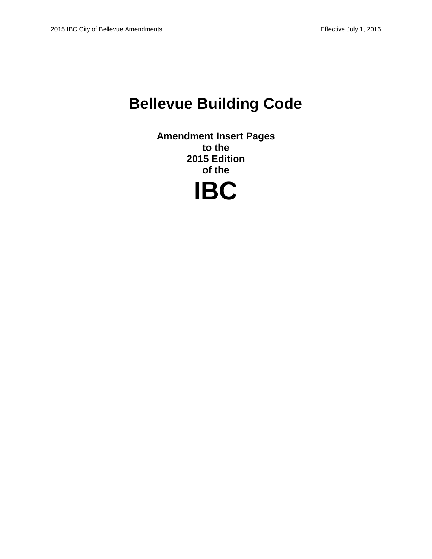# **Bellevue Building Code**

**Amendment Insert Pages to the 2015 Edition of the**

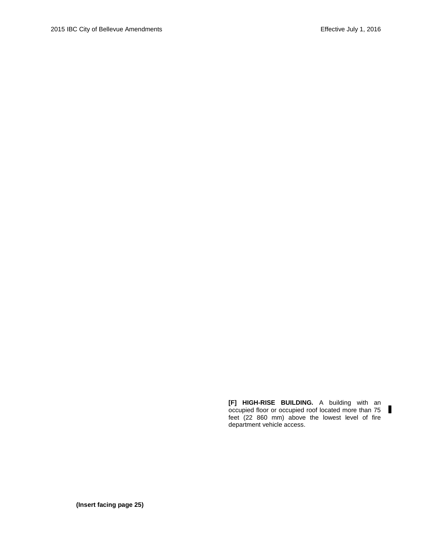**[F] HIGH-RISE BUILDING.** A building with an occupied floor or occupied roof located more than 75 feet (22 860 mm) above the lowest level of fire department vehicle access.

 $\blacksquare$ 

**(Insert facing page 25)**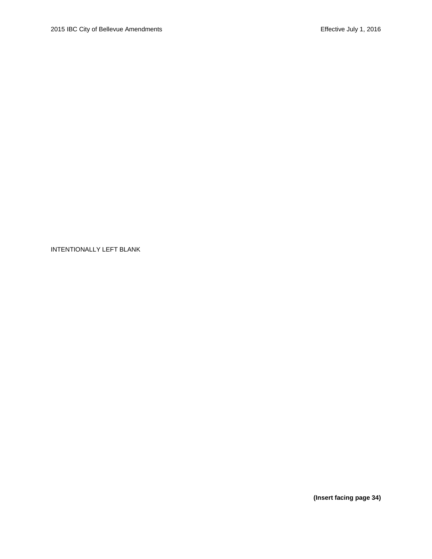**(Insert facing page 34)**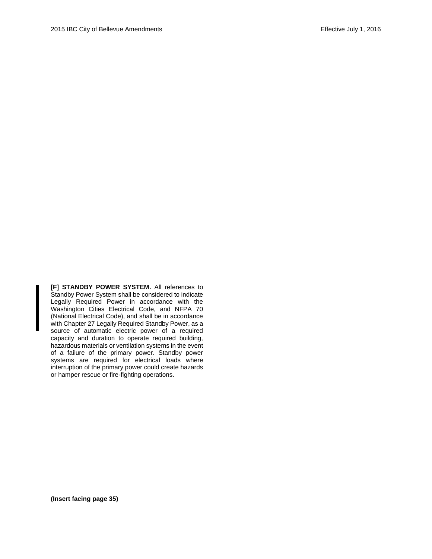**[F] STANDBY POWER SYSTEM.** All references to Standby Power System shall be considered to indicate Legally Required Power in accordance with the Washington Cities Electrical Code, and NFPA 70 (National Electrical Code), and shall be in accordance with Chapter 27 Legally Required Standby Power, as a source of automatic electric power of a required capacity and duration to operate required building, hazardous materials or ventilation systems in the event of a failure of the primary power. Standby power systems are required for electrical loads where interruption of the primary power could create hazards or hamper rescue or fire-fighting operations.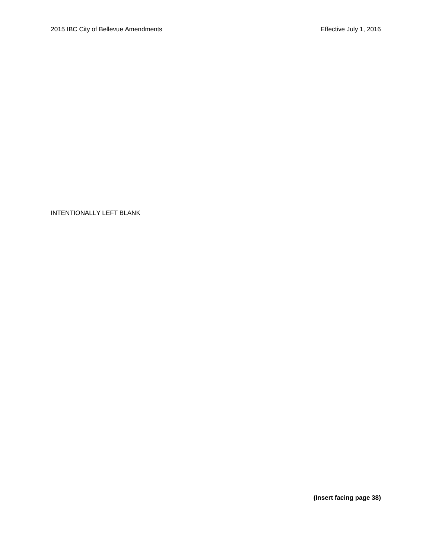**(Insert facing page 38)**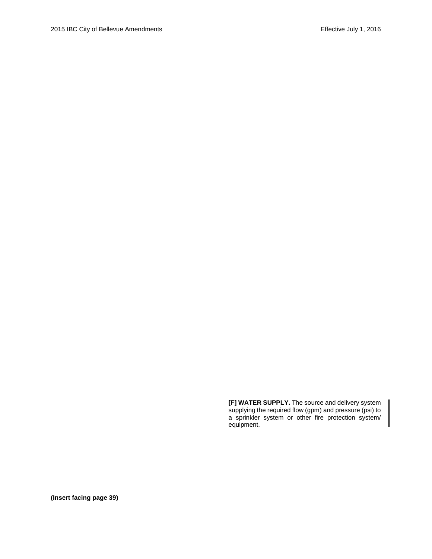**[F] WATER SUPPLY.** The source and delivery system supplying the required flow (gpm) and pressure (psi) to a sprinkler system or other fire protection system/ equipment.

**(Insert facing page 39)**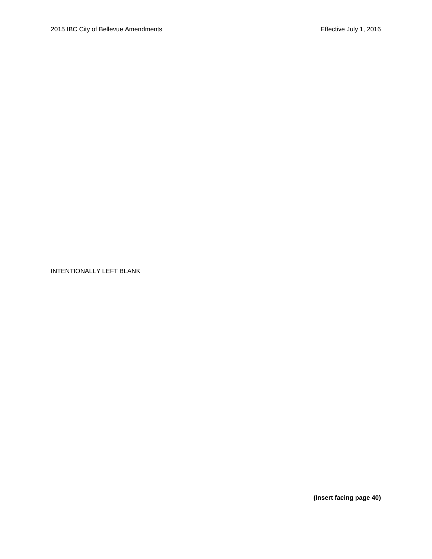**(Insert facing page 40)**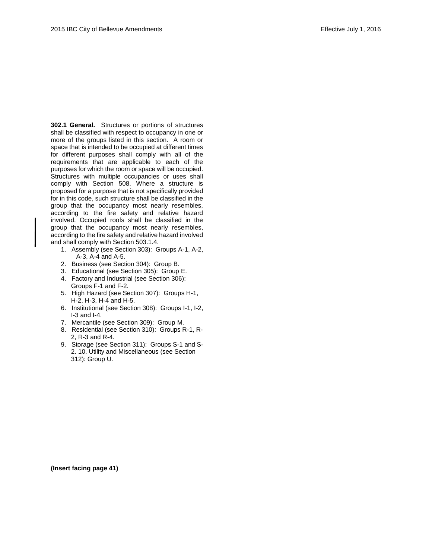**302.1 General.** Structures or portions of structures shall be classified with respect to occupancy in one or more of the groups listed in this section. A room or space that is intended to be occupied at different times for different purposes shall comply with all of the requirements that are applicable to each of the purposes for which the room or space will be occupied. Structures with multiple occupancies or uses shall comply with Section 508. Where a structure is proposed for a purpose that is not specifically provided for in this code, such structure shall be classified in the group that the occupancy most nearly resembles, according to the fire safety and relative hazard involved. Occupied roofs shall be classified in the group that the occupancy most nearly resembles, according to the fire safety and relative hazard involved and shall comply with Section 503.1.4.

- 1. Assembly (see Section 303): Groups A-1, A-2, A-3, A-4 and A-5.
- 2. Business (see Section 304): Group B.
- 3. Educational (see Section 305): Group E.
- 4. Factory and Industrial (see Section 306): Groups F-1 and F-2.
- 5. High Hazard (see Section 307): Groups H-1, H-2, H-3, H-4 and H-5.
- 6. Institutional (see Section 308): Groups I-1, I-2, I-3 and I-4.
- 7. Mercantile (see Section 309): Group M.
- 8. Residential (see Section 310): Groups R-1, R-2, R-3 and R-4.
- 9. Storage (see Section 311): Groups S-1 and S-2. 10. Utility and Miscellaneous (see Section 312): Group U.

**(Insert facing page 41)**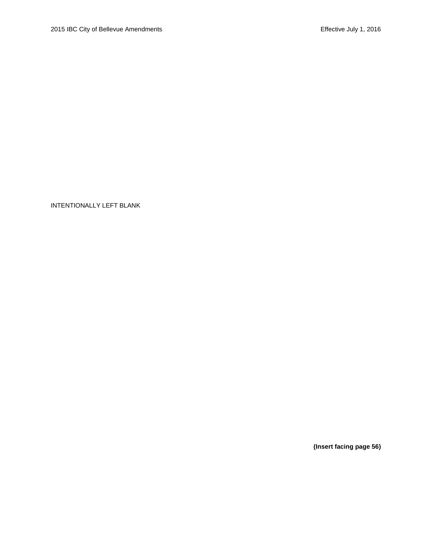**(Insert facing page 56)**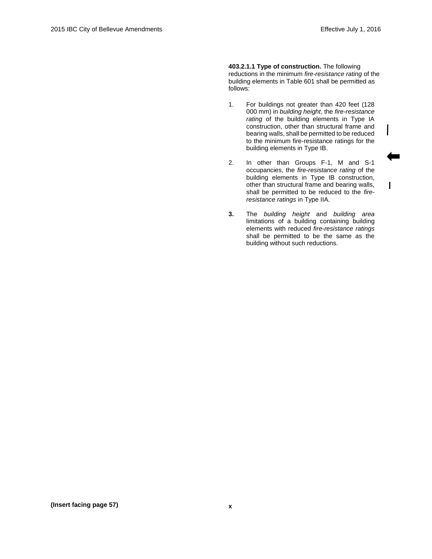$\mathsf{I}$ 

**403.2.1.1 Type of construction.** The following reductions in the minimum *fire-resistance rating* of the building elements in Table 601 shall be permitted as follows:

- 1. For buildings not greater than 420 feet (128 000 mm) in *building height*, the *fire-resistance rating* of the building elements in Type IA construction, other than structural frame and bearing walls, shall be permitted to be reduced to the minimum fire-resistance ratings for the building elements in Type IB.
- 2. In other than Groups F-1, M and S-1 occupancies, the *fire-resistance rating* of the building elements in Type IB construction, other than structural frame and bearing walls, shall be permitted to be reduced to the *fireresistance ratings* in Type IIA.
- **3.** The *building height* and *building area* limitations of a building containing building elements with reduced *fire-resistance ratings* shall be permitted to be the same as the building without such reductions.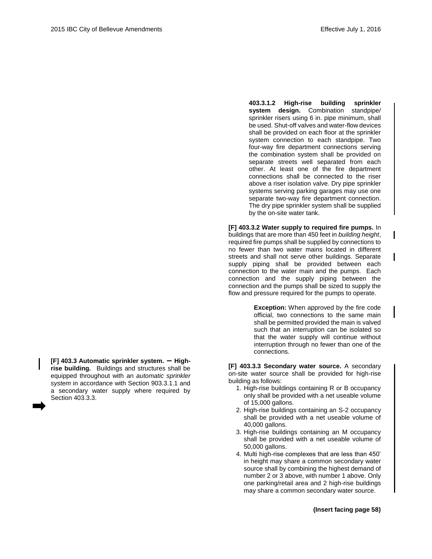I

**[F] 403.3 Automatic sprinkler system. – Highrise building.** Buildings and structures shall be equipped throughout with an *automatic sprinkler system* in accordance with Section 903.3.1.1 and a secondary water supply where required by Section 403.3.3.

**403.3.1.2 High-rise building sprinkler system design.** Combination standpipe/ sprinkler risers using 6 in. pipe minimum, shall be used. Shut-off valves and water-flow devices shall be provided on each floor at the sprinkler system connection to each standpipe. Two four-way fire department connections serving the combination system shall be provided on separate streets well separated from each other. At least one of the fire department connections shall be connected to the riser above a riser isolation valve. Dry pipe sprinkler systems serving parking garages may use one separate two-way fire department connection. The dry pipe sprinkler system shall be supplied by the on-site water tank.

**[F] 403.3.2 Water supply to required fire pumps.** In buildings that are more than 450 feet in *building height*, required fire pumps shall be supplied by connections to no fewer than two water mains located in different streets and shall not serve other buildings. Separate supply piping shall be provided between each connection to the water main and the pumps. Each connection and the supply piping between the connection and the pumps shall be sized to supply the flow and pressure required for the pumps to operate.

> **Exception:** When approved by the fire code official, two connections to the same main shall be permitted provided the main is valved such that an interruption can be isolated so that the water supply will continue without interruption through no fewer than one of the connections.

**[F] 403.3.3 Secondary water source.** A secondary on-site water source shall be provided for high-rise building as follows:

- 1. High-rise buildings containing R or B occupancy only shall be provided with a net useable volume of 15,000 gallons.
- 2. High-rise buildings containing an S-2 occupancy shall be provided with a net useable volume of 40,000 gallons.
- 3. High-rise buildings containing an M occupancy shall be provided with a net useable volume of 50,000 gallons.
- 4. Multi high-rise complexes that are less than 450' in height may share a common secondary water source shall by combining the highest demand of number 2 or 3 above, with number 1 above. Only one parking/retail area and 2 high-rise buildings may share a common secondary water source.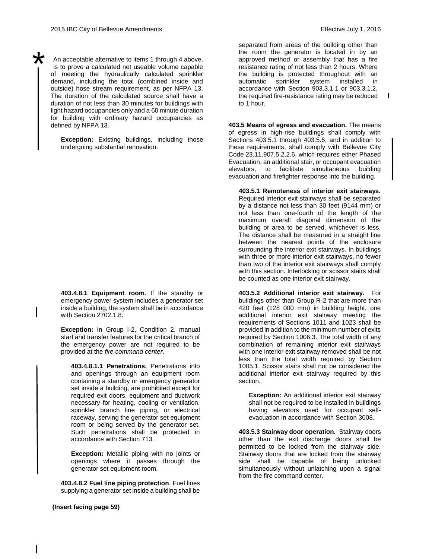\*

An acceptable alternative to items 1 through 4 above, is to prove a calculated net useable volume capable of meeting the hydraulically calculated sprinkler demand, including the total (combined inside and outside) hose stream requirement, as per NFPA 13. The duration of the calculated source shall have a duration of not less than 30 minutes for buildings with light hazard occupancies only and a 60 minute duration for building with ordinary hazard occupancies as defined by NFPA 13.

**Exception:** Existing buildings, including those undergoing substantial renovation.

**403.4.8.1 Equipment room.** If the standby or emergency power system includes a generator set inside a building, the system shall be in accordance with Section 2702.1.8.

**Exception:** In Group I-2, Condition 2, manual start and transfer features for the critical branch of the emergency power are not required to be provided at the *fire command center*.

**403.4.8.1.1 Penetrations.** Penetrations into and openings through an equipment room containing a standby or emergency generator set inside a building, are prohibited except for required exit doors, equipment and ductwork necessary for heating, cooling or ventilation, sprinkler branch line piping, or electrical raceway, serving the generator set equipment room or being served by the generator set. Such penetrations shall be protected in accordance with Section 713.

**Exception:** Metallic piping with no joints or openings where it passes through the generator set equipment room.

**403.4.8.2 Fuel line piping protection**. Fuel lines supplying a generator set inside a building shall be  $\mathbf{I}$ 

separated from areas of the building other than the room the generator is located in by an approved method or assembly that has a fire resistance rating of not less than 2 hours. Where the building is protected throughout with an automatic sprinkler system installed in accordance with Section 903.3.1.1 or 903.3.1.2, the required fire-resistance rating may be reduced to 1 hour.

**403.5 Means of egress and evacuation.** The means of egress in high-rise buildings shall comply with Sections 403.5.1 through 403.5.6, and in addition to these requirements, shall comply with Bellevue City Code 23.11.907.5.2.2.6, which requires either Phased Evacuation, an additional stair, or occupant evacuation elevators, to facilitate simultaneous building evacuation and firefighter response into the building.

**403.5.1 Remoteness of interior exit stairways.** Required interior exit stairways shall be separated by a distance not less than 30 feet (9144 mm) or not less than one-fourth of the length of the maximum overall diagonal dimension of the building or area to be served, whichever is less. The distance shall be measured in a straight line between the nearest points of the enclosure surrounding the interior exit stairways. In buildings with three or more interior exit stairways, no fewer than two of the interior exit stairways shall comply with this section. Interlocking or scissor stairs shall be counted as one interior exit stairway.

**403.5.2 Additional interior exit stairway.** For buildings other than Group R-2 that are more than 420 feet (128 000 mm) in building height, one additional interior exit stairway meeting the requirements of Sections 1011 and 1023 shall be provided in addition to the minimum number of exits required by Section 1006.3. The total width of any combination of remaining interior exit stairways with one interior exit stairway removed shall be not less than the total width required by Section 1005.1. Scissor stairs shall not be considered the additional interior exit stairway required by this section.

**Exception:** An additional interior exit stairway shall not be required to be installed in buildings having elevators used for occupant selfevacuation in accordance with Section 3008.

**403.5.3 Stairway door operation.** Stairway doors other than the exit discharge doors shall be permitted to be locked from the stairway side. Stairway doors that are locked from the stairway side shall be capable of being unlocked simultaneously without unlatching upon a signal from the fire command center.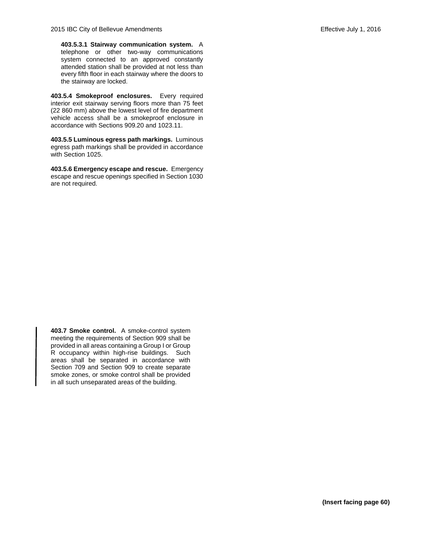**403.5.3.1 Stairway communication system.** A telephone or other two-way communications system connected to an approved constantly attended station shall be provided at not less than every fifth floor in each stairway where the doors to the stairway are locked.

**403.5.4 Smokeproof enclosures.** Every required interior exit stairway serving floors more than 75 feet (22 860 mm) above the lowest level of fire department vehicle access shall be a smokeproof enclosure in accordance with Sections 909.20 and 1023.11.

**403.5.5 Luminous egress path markings.** Luminous egress path markings shall be provided in accordance with Section 1025.

**403.5.6 Emergency escape and rescue.** Emergency escape and rescue openings specified in Section 1030 are not required.

**403.7 Smoke control.** A smoke-control system meeting the requirements of Section 909 shall be provided in all areas containing a Group I or Group R occupancy within high-rise buildings. Such areas shall be separated in accordance with Section 709 and Section 909 to create separate smoke zones, or smoke control shall be provided in all such unseparated areas of the building.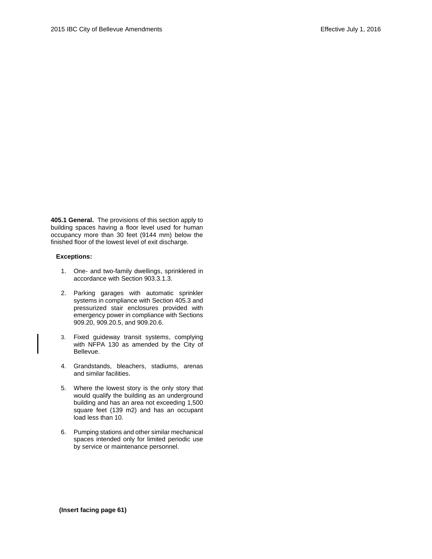**405.1 General.** The provisions of this section apply to building spaces having a floor level used for human occupancy more than 30 feet (9144 mm) below the finished floor of the lowest level of exit discharge.

#### **Exceptions:**

- 1. One- and two-family dwellings, sprinklered in accordance with Section 903.3.1.3.
- 2. Parking garages with automatic sprinkler systems in compliance with Section 405.3 and pressurized stair enclosures provided with emergency power in compliance with Sections 909.20, 909.20.5, and 909.20.6.
- 3. Fixed guideway transit systems, complying with NFPA 130 as amended by the City of Bellevue.
- 4. Grandstands, bleachers, stadiums, arenas and similar facilities.
- 5. Where the lowest story is the only story that would qualify the building as an underground building and has an area not exceeding 1,500 square feet (139 m2) and has an occupant load less than 10.
- 6. Pumping stations and other similar mechanical spaces intended only for limited periodic use by service or maintenance personnel.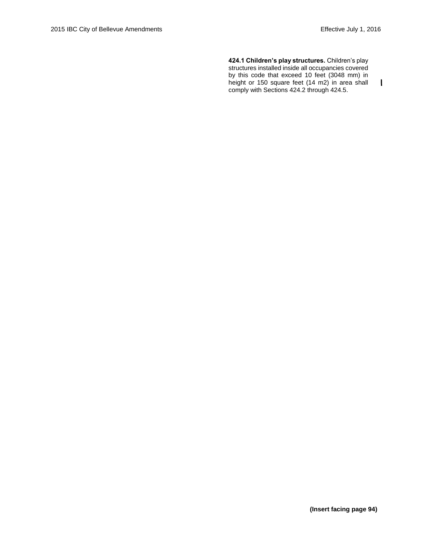**424.1 Children's play structures.** Children's play structures installed inside all occupancies covered by this code that exceed 10 feet (3048 mm) in height or 150 square feet (14 m2) in area shall  $\mathbf{I}$ comply with Sections 424.2 through 424.5.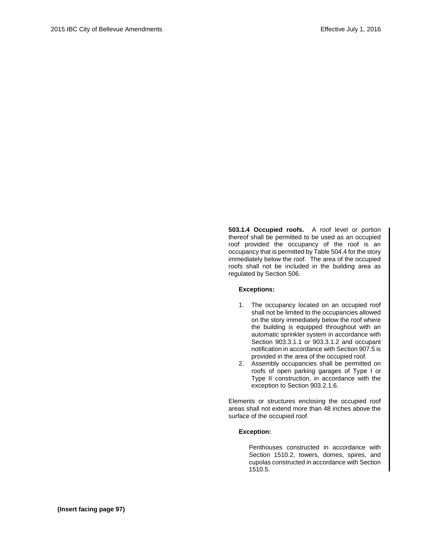**503.1.4 Occupied roofs.** A roof level or portion thereof shall be permitted to be used as an occupied roof provided the occupancy of the roof is an occupancy that is permitted by Table 504.4 for the story immediately below the roof. The area of the occupied roofs shall not be included in the building area as regulated by Section 506.

## **Exceptions:**

- 1. The occupancy located on an occupied roof shall not be limited to the occupancies allowed on the story immediately below the roof where the building is equipped throughout with an automatic sprinkler system in accordance with Section 903.3.1.1 or 903.3.1.2 and occupant notification in accordance with Section 907.5 is provided in the area of the occupied roof.
- 2. Assembly occupancies shall be permitted on roofs of open parking garages of Type I or Type II construction, in accordance with the exception to Section 903.2.1.6.

Elements or structures enclosing the occupied roof areas shall not extend more than 48 inches above the surface of the occupied roof.

## **Exception:**

Penthouses constructed in accordance with Section 1510.2, towers, domes, spires, and cupolas constructed in accordance with Section 1510.5.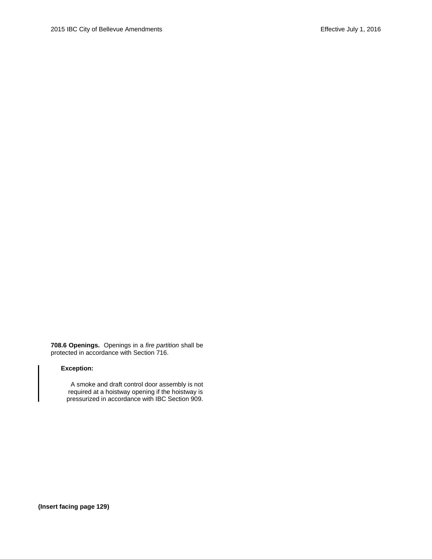**708.6 Openings.** Openings in a *fire partition* shall be protected in accordance with Section 716.

## **Exception:**

A smoke and draft control door assembly is not required at a hoistway opening if the hoistway is pressurized in accordance with IBC Section 909.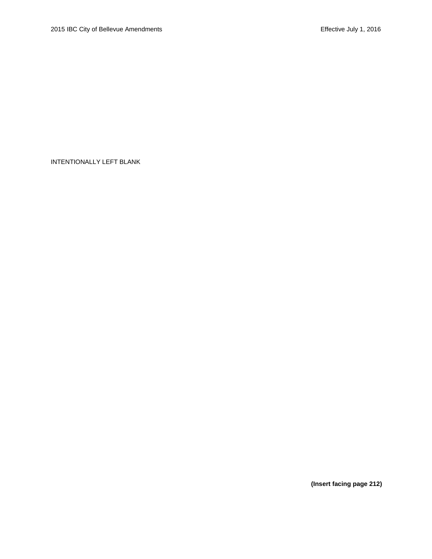**(Insert facing page 212)**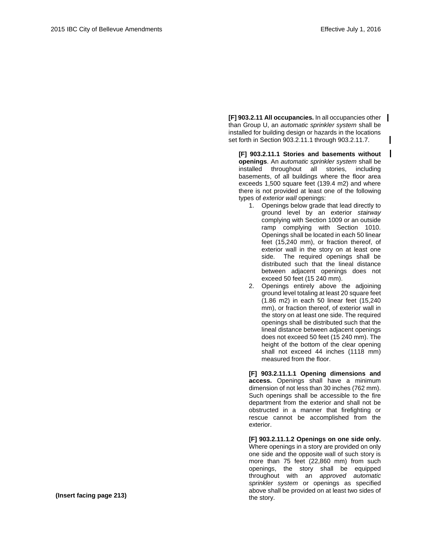**[F] 903.2.11 All occupancies.** In all occupancies other than Group U, an *automatic sprinkler system* shall be installed for building design or hazards in the locations set forth in Section 903.2.11.1 through 903.2.11.7.

**[F] 903.2.11.1 Stories and basements without openings**. An *automatic sprinkler system* shall be installed throughout all stories, including basements, of all buildings where the floor area exceeds 1,500 square feet (139.4 m2) and where there is not provided at least one of the following types of *exterior wall* openings:

- 1. Openings below grade that lead directly to ground level by an exterior *stairway*  complying with Section 1009 or an outside ramp complying with Section 1010. Openings shall be located in each 50 linear feet (15,240 mm), or fraction thereof, of exterior wall in the story on at least one side. The required openings shall be distributed such that the lineal distance between adjacent openings does not exceed 50 feet (15 240 mm).
- 2. Openings entirely above the adjoining ground level totaling at least 20 square feet (1.86 m2) in each 50 linear feet (15,240 mm), or fraction thereof, of exterior wall in the story on at least one side. The required openings shall be distributed such that the lineal distance between adjacent openings does not exceed 50 feet (15 240 mm). The height of the bottom of the clear opening shall not exceed 44 inches (1118 mm) measured from the floor.

**[F] 903.2.11.1.1 Opening dimensions and access.** Openings shall have a minimum dimension of not less than 30 inches (762 mm). Such openings shall be accessible to the fire department from the exterior and shall not be obstructed in a manner that firefighting or rescue cannot be accomplished from the exterior.

**[F] 903.2.11.1.2 Openings on one side only.**  Where openings in a story are provided on only one side and the opposite wall of such story is more than 75 feet (22,860 mm) from such openings, the story shall be equipped throughout with an *approved automatic sprinkler system* or openings as specified above shall be provided on at least two sides of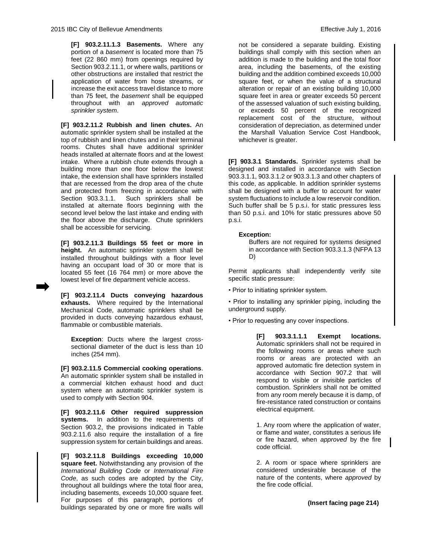**[F] 903.2.11.1.3 Basements.** Where any portion of a *basement* is located more than 75 feet (22 860 mm) from openings required by Section 903.2.11.1, or where walls, partitions or other obstructions are installed that restrict the application of water from hose streams, or increase the exit access travel distance to more than 75 feet, the *basement* shall be equipped throughout with an *approved automatic sprinkler system*.

**[F] 903.2.11.2 Rubbish and linen chutes.** An automatic sprinkler system shall be installed at the top of rubbish and linen chutes and in their terminal rooms. Chutes shall have additional sprinkler heads installed at alternate floors and at the lowest intake. Where a rubbish chute extends through a building more than one floor below the lowest intake, the extension shall have sprinklers installed that are recessed from the drop area of the chute and protected from freezing in accordance with<br>Section 903.3.1.1. Such sprinklers shall be Such sprinklers shall be installed at alternate floors beginning with the second level below the last intake and ending with the floor above the discharge. Chute sprinklers shall be accessible for servicing.

**[F] 903.2.11.3 Buildings 55 feet or more in height.** An automatic sprinkler system shall be installed throughout buildings with a floor level having an occupant load of 30 or more that is located 55 feet (16 764 mm) or more above the lowest level of fire department vehicle access.

**[F] 903.2.11.4 Ducts conveying hazardous exhausts.** Where required by the International Mechanical Code, automatic sprinklers shall be provided in ducts conveying hazardous exhaust, flammable or combustible materials.

**Exception:** Ducts where the largest crosssectional diameter of the duct is less than 10 inches (254 mm).

**[F] 903.2.11.5 Commercial cooking operations**. An automatic sprinkler system shall be installed in a commercial kitchen exhaust hood and duct system where an automatic sprinkler system is used to comply with Section 904.

**[F] 903.2.11.6 Other required suppression systems.** In addition to the requirements of Section 903.2, the provisions indicated in Table 903.2.11.6 also require the installation of a fire suppression system for certain buildings and areas.

**[F] 903.2.11.8 Buildings exceeding 10,000 square feet.** Notwithstanding any provision of the *International Building Code* or *International Fire Code*, as such codes are adopted by the City, throughout all buildings where the total floor area, including basements, exceeds 10,000 square feet. For purposes of this paragraph, portions of buildings separated by one or more fire walls will

not be considered a separate building. Existing buildings shall comply with this section when an addition is made to the building and the total floor area, including the basements, of the existing building and the addition combined exceeds 10,000 square feet, or when the value of a structural alteration or repair of an existing building 10,000 square feet in area or greater exceeds 50 percent of the assessed valuation of such existing building, or exceeds 50 percent of the recognized replacement cost of the structure, without consideration of depreciation, as determined under the Marshall Valuation Service Cost Handbook, whichever is greater.

**[F] 903.3.1 Standards.** Sprinkler systems shall be designed and installed in accordance with Section 903.3.1.1, 903.3.1.2 or 903.3.1.3 and other chapters of this code, as applicable. In addition sprinkler systems shall be designed with a buffer to account for water system fluctuations to include a low reservoir condition. Such buffer shall be 5 p.s.i. for static pressures less than 50 p.s.i. and 10% for static pressures above 50 p.s.i.

## **Exception:**

Buffers are not required for systems designed in accordance with Section 903.3.1.3 (NFPA 13 D)

Permit applicants shall independently verify site specific static pressure:

• Prior to initiating sprinkler system.

• Prior to installing any sprinkler piping, including the underground supply.

• Prior to requesting any cover inspections.

**[F] 903.3.1.1.1 Exempt locations.**  Automatic sprinklers shall not be required in the following rooms or areas where such rooms or areas are protected with an approved automatic fire detection system in accordance with Section 907.2 that will respond to visible or invisible particles of combustion. Sprinklers shall not be omitted from any room merely because it is damp, of fire-resistance rated construction or contains electrical equipment.

1. Any room where the application of water, or flame and water, constitutes a serious life or fire hazard, when *approved* by the fire code official.

2. A room or space where sprinklers are considered undesirable because of the nature of the contents, where *approved* by the fire code official.

**(Insert facing page 214)**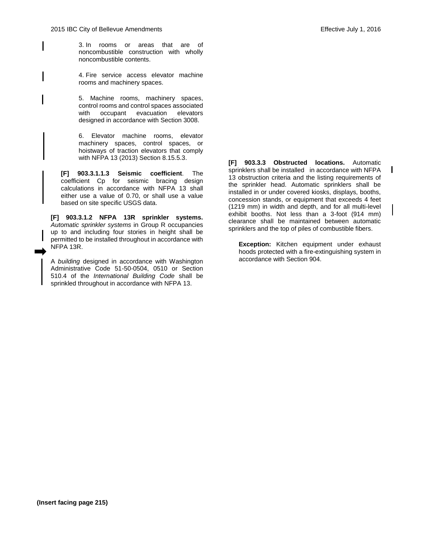I

3. In rooms or areas that are of noncombustible construction with wholly noncombustible contents.

4. Fire service access elevator machine rooms and machinery spaces.

5. Machine rooms, machinery spaces, control rooms and control spaces associated with occupant evacuation elevators designed in accordance with Section 3008.

6. Elevator machine rooms, elevator machinery spaces, control spaces, or hoistways of traction elevators that comply with NFPA 13 (2013) Section 8.15.5.3.

**[F] 903.3.1.1.3 Seismic coefficient**. The coefficient Cp for seismic bracing design calculations in accordance with NFPA 13 shall either use a value of 0.70, or shall use a value based on site specific USGS data.

**[F] 903.3.1.2 NFPA 13R sprinkler systems.** *Automatic sprinkler systems* in Group R occupancies up to and including four stories in height shall be permitted to be installed throughout in accordance with NFPA 13R.

A *building* designed in accordance with Washington Administrative Code 51-50-0504, 0510 or Section 510.4 of the *International Building Code* shall be sprinkled throughout in accordance with NFPA 13.

**[F] 903.3.3 Obstructed locations.** Automatic sprinklers shall be installed in accordance with NFPA 13 obstruction criteria and the listing requirements of the sprinkler head. Automatic sprinklers shall be installed in or under covered kiosks, displays, booths, concession stands, or equipment that exceeds 4 feet (1219 mm) in width and depth, and for all multi-level exhibit booths. Not less than a 3-foot (914 mm) clearance shall be maintained between automatic sprinklers and the top of piles of combustible fibers.

**Exception:** Kitchen equipment under exhaust hoods protected with a fire-extinguishing system in accordance with Section 904.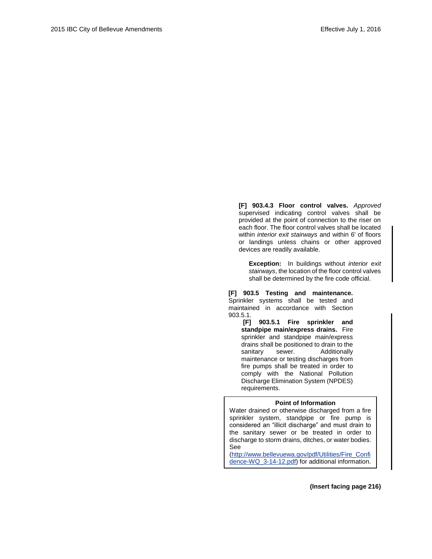**[F] 903.4.3 Floor control valves.** *Approved* supervised indicating control valves shall be provided at the point of connection to the riser on each floor. The floor control valves shall be located within *interior exit stairways* and within 6' of floors or landings unless chains or other approved devices are readily available.

**Exception:** In buildings without *interior exit stairways*, the location of the floor control valves shall be determined by the fire code official.

**[F] 903.5 Testing and maintenance.** Sprinkler systems shall be tested and maintained in accordance with Section 903.5.1.

**[F] 903.5.1 Fire sprinkler and standpipe main/express drains.** Fire sprinkler and standpipe main/express drains shall be positioned to drain to the sanitary sewer. Additionally maintenance or testing discharges from fire pumps shall be treated in order to comply with the National Pollution Discharge Elimination System (NPDES) requirements.

#### **Point of Information**

Water drained or otherwise discharged from a fire sprinkler system, standpipe or fire pump is considered an "illicit discharge" and must drain to the sanitary sewer or be treated in order to discharge to storm drains, ditches, or water bodies. See

[\(http://www.bellevuewa.gov/pdf/Utilities/Fire\\_Confi](http://www.bellevuewa.gov/pdf/Utilities/Fire_Confidence-WQ_3-14-12.pdf) [dence-WQ\\_3-14-12.pdf\)](http://www.bellevuewa.gov/pdf/Utilities/Fire_Confidence-WQ_3-14-12.pdf) for additional information.

**(Insert facing page 216)**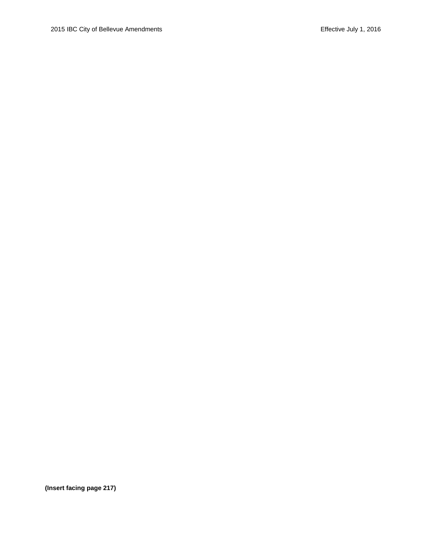**(Insert facing page 217)**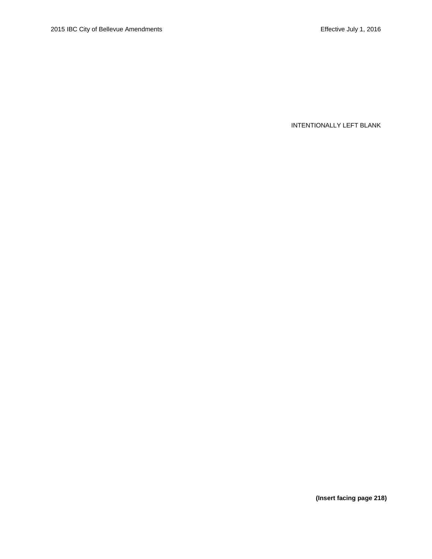**(Insert facing page 218)**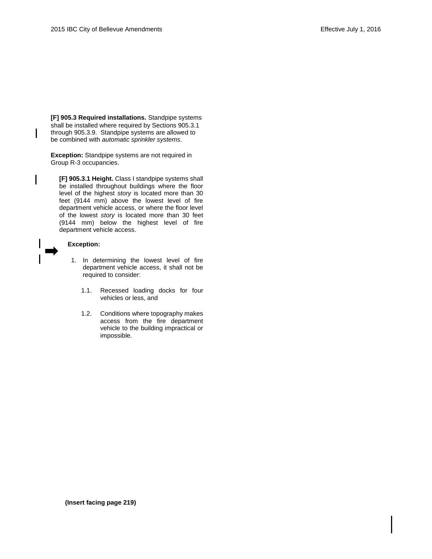**[F] 905.3 Required installations.** Standpipe systems shall be installed where required by Sections 905.3.1 through 905.3.9. Standpipe systems are allowed to be combined with *automatic sprinkler systems*.

**Exception:** Standpipe systems are not required in Group R-3 occupancies.

**[F] 905.3.1 Height.** Class I standpipe systems shall be installed throughout buildings where the floor level of the highest *story* is located more than 30 feet (9144 mm) above the lowest level of fire department vehicle access, or where the floor level of the lowest *story* is located more than 30 feet (9144 mm) below the highest level of fire department vehicle access.

## **Exception:**

 $\mathsf{l}$ 

- 1. In determining the lowest level of fire department vehicle access, it shall not be required to consider:
	- 1.1. Recessed loading docks for four vehicles or less, and
	- 1.2. Conditions where topography makes access from the fire department vehicle to the building impractical or impossible.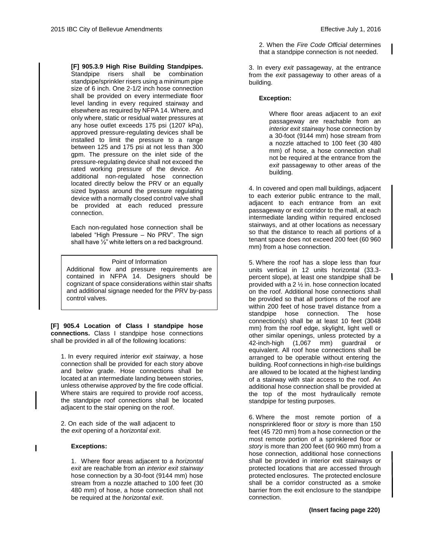**[F] 905.3.9 High Rise Building Standpipes.**  Standpipe risers shall be combination standpipe/sprinkler risers using a minimum pipe size of 6 inch. One 2-1/2 inch hose connection shall be provided on every intermediate floor level landing in every required stairway and elsewhere as required by NFPA 14. Where, and only where, static or residual water pressures at any hose outlet exceeds 175 psi (1207 kPa), approved pressure-regulating devices shall be installed to limit the pressure to a range between 125 and 175 psi at not less than 300 gpm. The pressure on the inlet side of the pressure-regulating device shall not exceed the rated working pressure of the device. An additional non-regulated hose connection located directly below the PRV or an equally sized bypass around the pressure regulating device with a normally closed control valve shall be provided at each reduced pressure connection.

Each non-regulated hose connection shall be labeled "High Pressure – No PRV". The sign shall have ½" white letters on a red background.

## Point of Information

Additional flow and pressure requirements are contained in NFPA 14. Designers should be cognizant of space considerations within stair shafts and additional signage needed for the PRV by-pass control valves.

**[F] 905.4 Location of Class I standpipe hose connections.** Class I standpipe hose connections shall be provided in all of the following locations:

1. In every required *interior exit stairway*, a hose connection shall be provided for each story above and below grade. Hose connections shall be located at an intermediate landing between stories, unless otherwise *approved* by the fire code official. Where stairs are required to provide roof access, the standpipe roof connections shall be located adjacent to the stair opening on the roof.

2. On each side of the wall adjacent to the *exit* opening of a *horizontal exit*.

#### **Exceptions:**

1. Where floor areas adjacent to a *horizontal exit* are reachable from an *interior exit stairway*  hose connection by a 30-foot (9144 mm) hose stream from a nozzle attached to 100 feet (30 480 mm) of hose, a hose connection shall not be required at the *horizontal exit*.

2. When the *Fire Code Official* determines that a standpipe connection is not needed.

3. In every *exit* passageway, at the entrance from the *exit* passageway to other areas of a building.

#### **Exception:**

Where floor areas adjacent to an *exit* passageway are reachable from an *interior exit stairway* hose connection by a 30-foot (9144 mm) hose stream from a nozzle attached to 100 feet (30 480 mm) of hose, a hose connection shall not be required at the entrance from the *exit* passageway to other areas of the building.

4. In covered and open mall buildings, adjacent to each exterior public entrance to the mall, adjacent to each entrance from an exit passageway or exit corridor to the mall, at each intermediate landing within required enclosed stairways, and at other locations as necessary so that the distance to reach all portions of a tenant space does not exceed 200 feet (60 960 mm) from a hose connection.

5. Where the roof has a slope less than four units vertical in 12 units horizontal (33.3 percent slope), at least one standpipe shall be provided with a 2 ½ in. hose connection located on the roof. Additional hose connections shall be provided so that all portions of the roof are within 200 feet of hose travel distance from a standpipe hose connection. The hose connection(s) shall be at least 10 feet (3048 mm) from the roof edge, skylight, light well or other similar openings, unless protected by a 42-inch-high (1,067 mm) guardrail or equivalent. All roof hose connections shall be arranged to be operable without entering the building. Roof connections in high-rise buildings are allowed to be located at the highest landing of a stairway with stair access to the roof. An additional hose connection shall be provided at the top of the most hydraulically remote standpipe for testing purposes.

 $\mathbf{I}$ 

6. Where the most remote portion of a nonsprinklered floor or *story* is more than 150 feet (45 720 mm) from a hose connection or the most remote portion of a sprinklered floor or *story* is more than 200 feet (60 960 mm) from a hose connection, additional hose connections shall be provided in interior exit stairways or protected locations that are accessed through protected enclosures. The protected enclosure shall be a corridor constructed as a smoke barrier from the exit enclosure to the standpipe connection.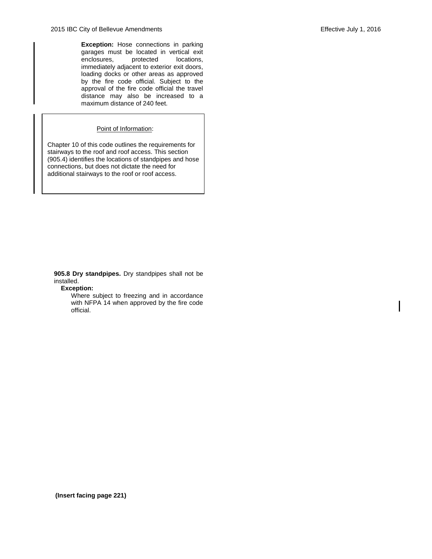**Exception:** Hose connections in parking garages must be located in vertical exit enclosures, protected locations, immediately adjacent to exterior exit doors, loading docks or other areas as approved by the fire code official. Subject to the approval of the fire code official the travel distance may also be increased to a maximum distance of 240 feet.

## Point of Information:

Chapter 10 of this code outlines the requirements for stairways to the roof and roof access. This section (905.4) identifies the locations of standpipes and hose connections, but does not dictate the need for additional stairways to the roof or roof access.

**905.8 Dry standpipes.** Dry standpipes shall not be installed.

**Exception:**

Where subject to freezing and in accordance with NFPA 14 when approved by the fire code official.

**(Insert facing page 221)**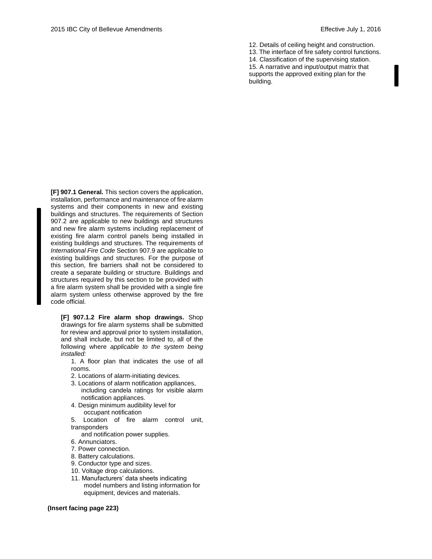12. Details of ceiling height and construction. 13. The interface of fire safety control functions. 14. Classification of the supervising station. 15. A narrative and input/output matrix that supports the approved exiting plan for the building.

**[F] 907.1 General.** This section covers the application, installation, performance and maintenance of fire alarm systems and their components in new and existing buildings and structures. The requirements of Section 907.2 are applicable to new buildings and structures and new fire alarm systems including replacement of existing fire alarm control panels being installed in existing buildings and structures. The requirements of *International Fire Code* Section 907.9 are applicable to existing buildings and structures. For the purpose of this section, fire barriers shall not be considered to create a separate building or structure. Buildings and structures required by this section to be provided with a fire alarm system shall be provided with a single fire alarm system unless otherwise approved by the fire code official*.*

**[F] 907.1.2 Fire alarm shop drawings.** Shop drawings for fire alarm systems shall be submitted for review and approval prior to system installation, and shall include, but not be limited to, all of the following where *applicable to the system being installed:*

1. A floor plan that indicates the use of all rooms.

- 2. Locations of alarm-initiating devices.
- 3. Locations of alarm notification appliances, including candela ratings for visible alarm notification appliances.
- 4. Design minimum audibility level for occupant notification
- 5. Location of fire alarm control unit, transponders

and notification power supplies.

- 6. Annunciators.
- 7. Power connection.
- 8. Battery calculations.
- 9. Conductor type and sizes.
- 10. Voltage drop calculations.
- 11. Manufacturers' data sheets indicating model numbers and listing information for equipment, devices and materials.

#### **(Insert facing page 223)**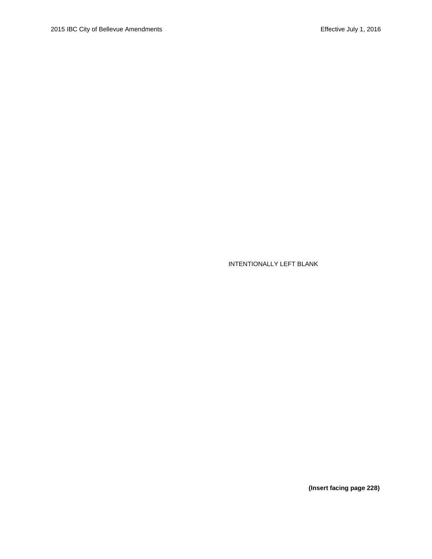**(Insert facing page 228)**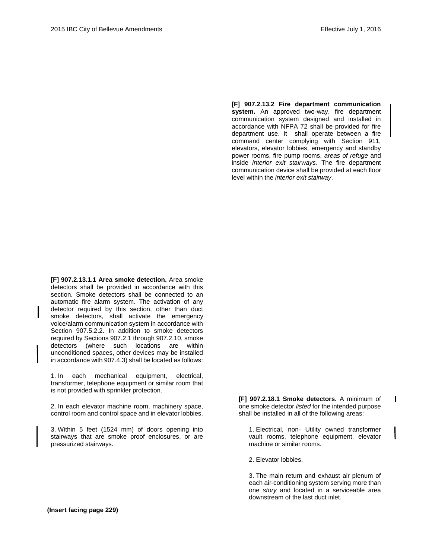**[F] 907.2.13.2 Fire department communication system.** An approved two-way, fire department communication system designed and installed in accordance with NFPA 72 shall be provided for fire department use. It shall operate between a fire command center complying with Section 911, elevators, elevator lobbies, emergency and standby power rooms, fire pump rooms, *areas of refuge* and inside *interior exit stairways*. The fire department communication device shall be provided at each floor level within the *interior exit stairway*.

**[F] 907.2.13.1.1 Area smoke detection.** Area smoke detectors shall be provided in accordance with this section. Smoke detectors shall be connected to an automatic fire alarm system. The activation of any detector required by this section, other than duct smoke detectors, shall activate the emergency voice/alarm communication system in accordance with Section 907.5.2.2. In addition to smoke detectors required by Sections 907.2.1 through 907.2.10, smoke detectors (where such locations are within unconditioned spaces, other devices may be installed in accordance with 907.4.3) shall be located as follows:

1. In each mechanical equipment, electrical, transformer, telephone equipment or similar room that is not provided with sprinkler protection.

2. In each elevator machine room, machinery space, control room and control space and in elevator lobbies.

3. Within 5 feet (1524 mm) of doors opening into stairways that are smoke proof enclosures, or are pressurized stairways.

**[F] 907.2.18.1 Smoke detectors.** A minimum of one smoke detector *listed* for the intended purpose shall be installed in all of the following areas:

1. Electrical, non- Utility owned transformer vault rooms, telephone equipment, elevator machine or similar rooms.

2. Elevator lobbies.

3. The main return and exhaust air plenum of each air-conditioning system serving more than one *story* and located in a serviceable area downstream of the last duct inlet.

**(Insert facing page 229)**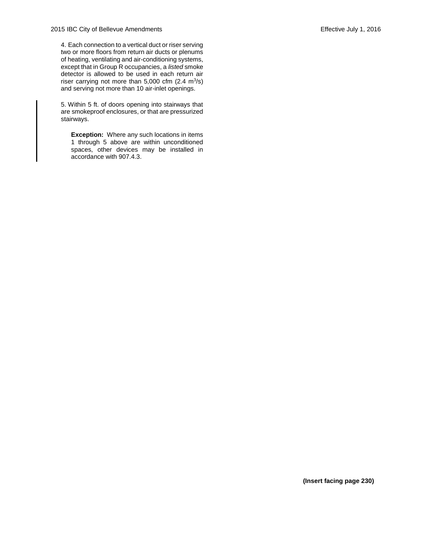4. Each connection to a vertical duct or riser serving two or more floors from return air ducts or plenums of heating, ventilating and air-conditioning systems, except that in Group R occupancies, a *listed* smoke detector is allowed to be used in each return air riser carrying not more than  $5,000$  cfm  $(2.4 \text{ m}^3/\text{s})$ and serving not more than 10 air-inlet openings.

5. Within 5 ft. of doors opening into stairways that are smokeproof enclosures, or that are pressurized stairways.

**Exception:** Where any such locations in items 1 through 5 above are within unconditioned spaces, other devices may be installed in accordance with 907.4.3.

**(Insert facing page 230)**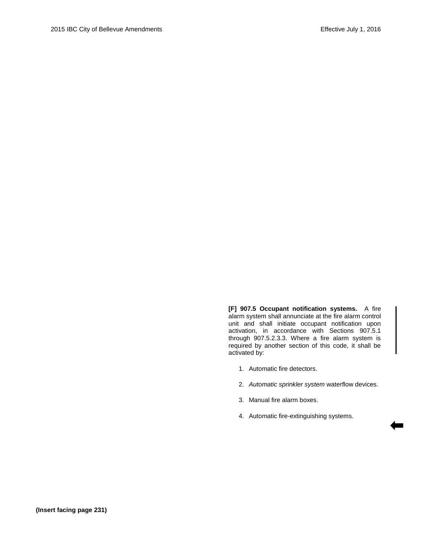**[F] 907.5 Occupant notification systems.** A fire alarm system shall annunciate at the fire alarm control unit and shall initiate occupant notification upon activation, in accordance with Sections 907.5.1 through 907.5.2.3.3. Where a fire alarm system is required by another section of this code, it shall be activated by:

- 1. Automatic fire detectors.
- 2. *Automatic sprinkler system* waterflow devices.

۰

- 3. Manual fire alarm boxes.
- 4. Automatic fire-extinguishing systems.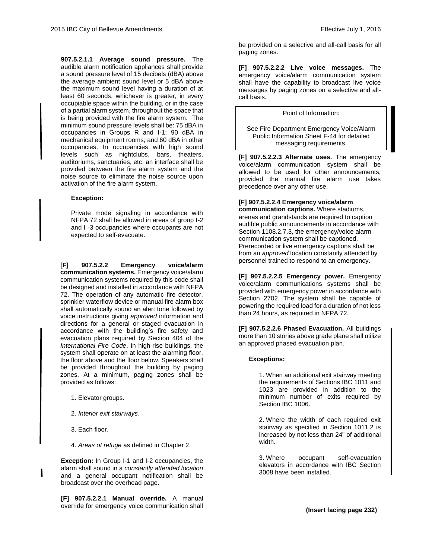**907.5.2.1.1 Average sound pressure.** The audible alarm notification appliances shall provide a sound pressure level of 15 decibels (dBA) above the average ambient sound level or 5 dBA above the maximum sound level having a duration of at least 60 seconds, whichever is greater, in every occupiable space within the building, or in the case of a partial alarm system, throughout the space that is being provided with the fire alarm system. The minimum sound pressure levels shall be: 75 dBA in occupancies in Groups R and I-1; 90 dBA in mechanical equipment rooms; and 60 dBA in other occupancies. In occupancies with high sound levels such as nightclubs, bars, theaters, auditoriums, sanctuaries, etc. an interface shall be provided between the fire alarm system and the noise source to eliminate the noise source upon activation of the fire alarm system.

#### **Exception:**

Private mode signaling in accordance with NFPA 72 shall be allowed in areas of group I-2 and I -3 occupancies where occupants are not expected to self-evacuate.

**[F] 907.5.2.2 Emergency voice/alarm communication systems.** Emergency voice/alarm communication systems required by this code shall be designed and installed in accordance with NFPA 72. The operation of any automatic fire detector, sprinkler waterflow device or manual fire alarm box shall automatically sound an alert tone followed by voice instructions giving *approved* information and directions for a general or staged evacuation in accordance with the building's fire safety and evacuation plans required by Section 404 of the *International Fire Code*. In high-rise buildings, the system shall operate on at least the alarming floor, the floor above and the floor below. Speakers shall be provided throughout the building by paging zones. At a minimum, paging zones shall be provided as follows:

- 1. Elevator groups.
- 2. *Interior exit stairways*.
- 3. Each floor.
- 4. *Areas of refuge* as defined in Chapter 2.

**Exception:** In Group I-1 and I-2 occupancies, the alarm shall sound in a *constantly attended location* and a general occupant notification shall be broadcast over the overhead page.

**[F] 907.5.2.2.1 Manual override.** A manual override for emergency voice communication shall

be provided on a selective and all-call basis for all paging zones.

**[F] 907.5.2.2.2 Live voice messages.** The emergency voice/alarm communication system shall have the capability to broadcast live voice messages by paging zones on a selective and allcall basis.

#### Point of Information:

See Fire Department Emergency Voice/Alarm Public Information Sheet F-44 for detailed messaging requirements.

**[F] 907.5.2.2.3 Alternate uses.** The emergency voice/alarm communication system shall be allowed to be used for other announcements, provided the manual fire alarm use takes precedence over any other use.

#### **[F] 907.5.2.2.4 Emergency voice/alarm**

**communication captions.** Where stadiums, arenas and grandstands are required to caption audible public announcements in accordance with Section 1108.2.7.3, the emergency/voice alarm communication system shall be captioned. Prerecorded or live emergency captions shall be from an *approved* location constantly attended by personnel trained to respond to an emergency.

**[F] 907.5.2.2.5 Emergency power.** Emergency voice/alarm communications systems shall be provided with emergency power in accordance with Section 2702. The system shall be capable of powering the required load for a duration of not less than 24 hours, as required in NFPA 72.

**[F] 907.5.2.2.6 Phased Evacuation.** All buildings more than 10 stories above grade plane shall utilize an approved phased evacuation plan.

#### **Exceptions:**

1. When an additional exit stairway meeting the requirements of Sections IBC 1011 and 1023 are provided in addition to the minimum number of exits required by Section IBC 1006.

2. Where the width of each required exit stairway as specified in Section 1011.2 is increased by not less than 24" of additional width.

3. Where occupant self-evacuation elevators in accordance with IBC Section 3008 have been installed.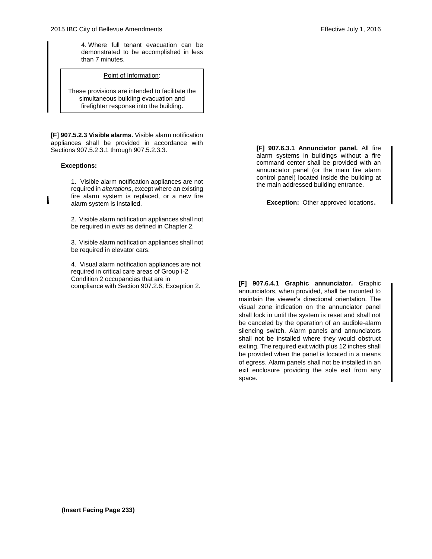4. Where full tenant evacuation can be demonstrated to be accomplished in less than 7 minutes.

#### Point of Information:

These provisions are intended to facilitate the simultaneous building evacuation and firefighter response into the building.

**[F] 907.5.2.3 Visible alarms.** Visible alarm notification appliances shall be provided in accordance with Sections 907.5.2.3.1 through 907.5.2.3.3.

#### **Exceptions:**

1. Visible alarm notification appliances are not required in *alterations*, except where an existing fire alarm system is replaced, or a new fire alarm system is installed.

2. Visible alarm notification appliances shall not be required in *exits* as defined in Chapter 2.

3. Visible alarm notification appliances shall not be required in elevator cars.

4. Visual alarm notification appliances are not required in critical care areas of Group I-2 Condition 2 occupancies that are in compliance with Section 907.2.6, Exception 2.

**[F] 907.6.3.1 Annunciator panel.** All fire alarm systems in buildings without a fire command center shall be provided with an annunciator panel (or the main fire alarm control panel) located inside the building at the main addressed building entrance.

**Exception:** Other approved locations.

**[F] 907.6.4.1 Graphic annunciator.** Graphic annunciators, when provided, shall be mounted to maintain the viewer's directional orientation. The visual zone indication on the annunciator panel shall lock in until the system is reset and shall not be canceled by the operation of an audible-alarm silencing switch. Alarm panels and annunciators shall not be installed where they would obstruct exiting. The required exit width plus 12 inches shall be provided when the panel is located in a means of egress. Alarm panels shall not be installed in an exit enclosure providing the sole exit from any space.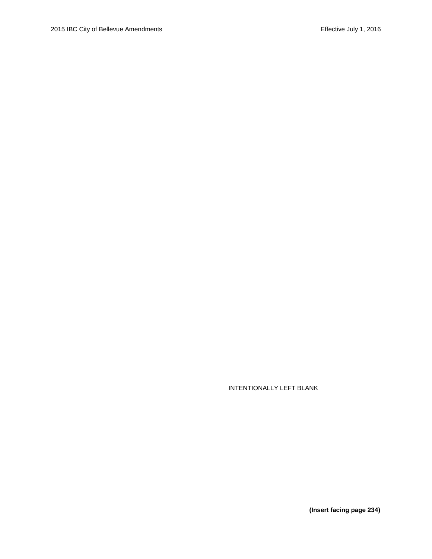**(Insert facing page 234)**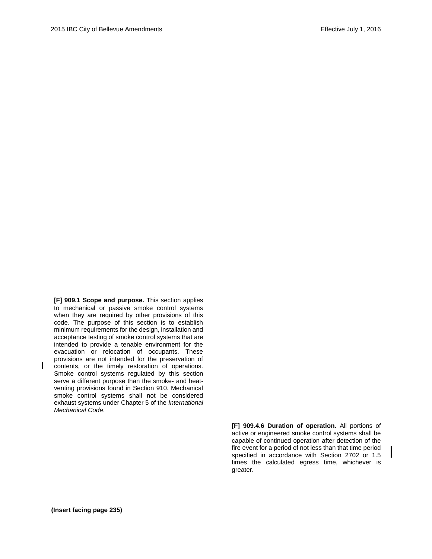**[F] 909.1 Scope and purpose.** This section applies to mechanical or passive smoke control systems when they are required by other provisions of this code. The purpose of this section is to establish minimum requirements for the design, installation and acceptance testing of smoke control systems that are intended to provide a tenable environment for the evacuation or relocation of occupants. These provisions are not intended for the preservation of contents, or the timely restoration of operations. Smoke control systems regulated by this section serve a different purpose than the smoke- and heatventing provisions found in Section 910. Mechanical smoke control systems shall not be considered exhaust systems under Chapter 5 of the *International Mechanical Code*.

> **[F] 909.4.6 Duration of operation.** All portions of active or engineered smoke control systems shall be capable of continued operation after detection of the fire event for a period of not less than that time period specified in accordance with Section 2702 or 1.5 times the calculated egress time, whichever is greater.

L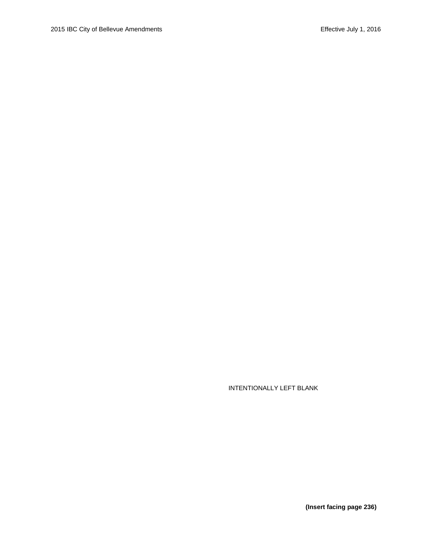**(Insert facing page 236)**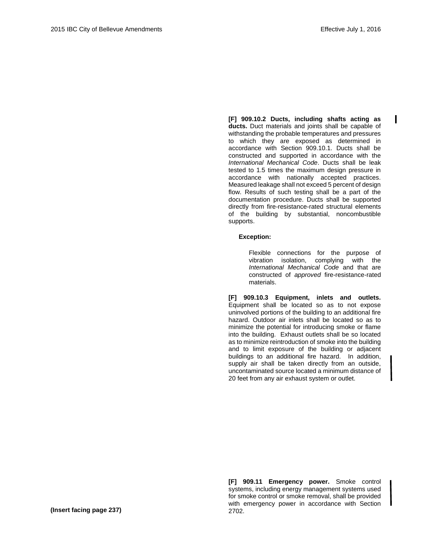$\mathbf{I}$ 

**[F] 909.10.2 Ducts, including shafts acting as ducts.** Duct materials and joints shall be capable of withstanding the probable temperatures and pressures to which they are exposed as determined in accordance with Section 909.10.1. Ducts shall be constructed and supported in accordance with the *International Mechanical Code*. Ducts shall be leak tested to 1.5 times the maximum design pressure in accordance with nationally accepted practices. Measured leakage shall not exceed 5 percent of design flow. Results of such testing shall be a part of the documentation procedure. Ducts shall be supported directly from fire-resistance-rated structural elements of the building by substantial, noncombustible supports.

#### **Exception:**

Flexible connections for the purpose of vibration isolation, complying with the *International Mechanical Code* and that are constructed of *approved* fire-resistance-rated materials.

**[F] 909.10.3 Equipment, inlets and outlets.** Equipment shall be located so as to not expose uninvolved portions of the building to an additional fire hazard. Outdoor air inlets shall be located so as to minimize the potential for introducing smoke or flame into the building. Exhaust outlets shall be so located as to minimize reintroduction of smoke into the building and to limit exposure of the building or adjacent buildings to an additional fire hazard. In addition, supply air shall be taken directly from an outside, uncontaminated source located a minimum distance of 20 feet from any air exhaust system or outlet.

**[F] 909.11 Emergency power.** Smoke control systems, including energy management systems used for smoke control or smoke removal, shall be provided with emergency power in accordance with Section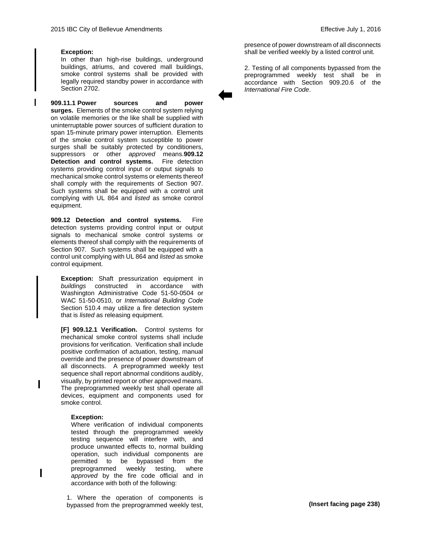#### **Exception:**

In other than high-rise buildings, underground buildings, atriums, and covered mall buildings, smoke control systems shall be provided with legally required standby power in accordance with Section 2702.

**909.11.1 Power sources and power surges.** Elements of the smoke control system relying on volatile memories or the like shall be supplied with uninterruptable power sources of sufficient duration to span 15-minute primary power interruption. Elements of the smoke control system susceptible to power surges shall be suitably protected by conditioners, suppressors or other *approved* means.**909.12 Detection and control systems.** Fire detection systems providing control input or output signals to mechanical smoke control systems or elements thereof shall comply with the requirements of Section 907. Such systems shall be equipped with a control unit complying with UL 864 and *listed* as smoke control equipment.

**909.12 Detection and control systems.** Fire detection systems providing control input or output signals to mechanical smoke control systems or elements thereof shall comply with the requirements of Section 907. Such systems shall be equipped with a control unit complying with UL 864 and *listed* as smoke control equipment.

**Exception:** Shaft pressurization equipment in *buildings* constructed in accordance with Washington Administrative Code 51-50-0504 or WAC 51-50-0510, or *International Building Code*  Section 510.4 may utilize a fire detection system that is *listed* as releasing equipment.

**[F] 909.12.1 Verification.** Control systems for mechanical smoke control systems shall include provisions for verification. Verification shall include positive confirmation of actuation, testing, manual override and the presence of power downstream of all disconnects. A preprogrammed weekly test sequence shall report abnormal conditions audibly, visually, by printed report or other approved means. The preprogrammed weekly test shall operate all devices, equipment and components used for smoke control.

#### **Exception:**

Where verification of individual components tested through the preprogrammed weekly testing sequence will interfere with, and produce unwanted effects to, normal building operation, such individual components are permitted to be bypassed from the preprogrammed weekly testing, where *approved* by the fire code official and in accordance with both of the following:

1. Where the operation of components is bypassed from the preprogrammed weekly test,

presence of power downstream of all disconnects shall be verified weekly by a listed control unit.

2. Testing of all components bypassed from the preprogrammed weekly test shall be in accordance with Section 909.20.6 of the *International Fire Code*.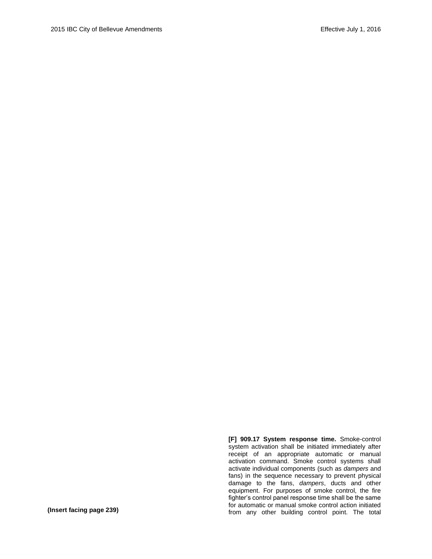**[F] 909.17 System response time.** Smoke-control system activation shall be initiated immediately after receipt of an appropriate automatic or manual activation command. Smoke control systems shall activate individual components (such as *dampers* and fans) in the sequence necessary to prevent physical damage to the fans, *dampers*, ducts and other equipment. For purposes of smoke control, the fire fighter's control panel response time shall be the same for automatic or manual smoke control action initiated from any other building control point. The total **(Insert facing page 239)**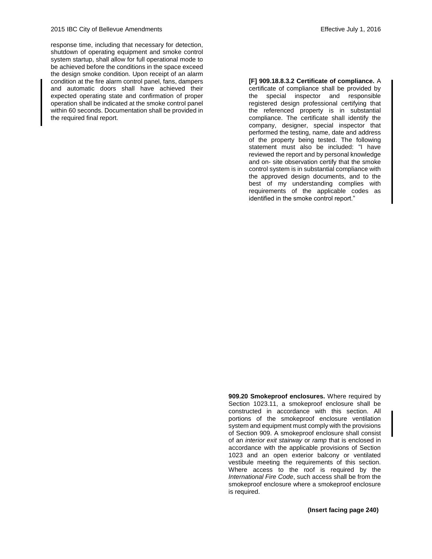response time, including that necessary for detection, shutdown of operating equipment and smoke control system startup, shall allow for full operational mode to be achieved before the conditions in the space exceed the design smoke condition. Upon receipt of an alarm condition at the fire alarm control panel, fans, dampers and automatic doors shall have achieved their expected operating state and confirmation of proper operation shall be indicated at the smoke control panel within 60 seconds. Documentation shall be provided in the required final report.

#### **[F] 909.18.8.3.2 Certificate of compliance.** A

certificate of compliance shall be provided by the special inspector and responsible registered design professional certifying that the referenced property is in substantial compliance. The certificate shall identify the company, designer, special inspector that performed the testing, name, date and address of the property being tested. The following statement must also be included: "I have reviewed the report and by personal knowledge and on- site observation certify that the smoke control system is in substantial compliance with the approved design documents, and to the best of my understanding complies with requirements of the applicable codes as identified in the smoke control report."

**909.20 Smokeproof enclosures.** Where required by Section 1023.11, a smokeproof enclosure shall be constructed in accordance with this section. All portions of the smokeproof enclosure ventilation system and equipment must comply with the provisions of Section 909. A smokeproof enclosure shall consist of an *interior exit stairway* or *ramp* that is enclosed in accordance with the applicable provisions of Section 1023 and an open exterior balcony or ventilated vestibule meeting the requirements of this section. Where access to the roof is required by the *International Fire Code*, such access shall be from the smokeproof enclosure where a smokeproof enclosure is required.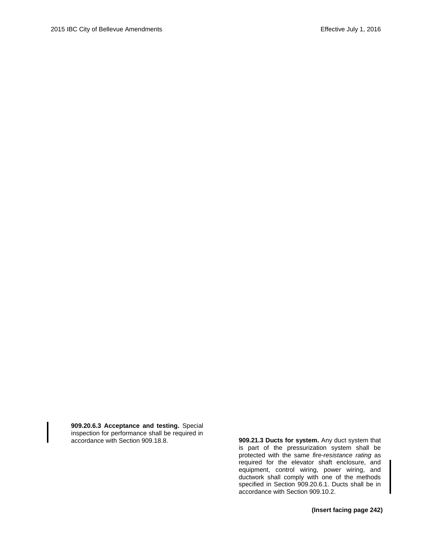**909.20.6.3 Acceptance and testing.** Special inspection for performance shall be required in

909.21.3 Ducts for system. Any duct system that is part of the pressurization system shall be protected with the same *fire-resistance rating* as required for the elevator shaft enclosure, and equipment, control wiring, power wiring, and ductwork shall comply with one of the methods specified in Section 909.20.6.1. Ducts shall be in accordance with Section 909.10.2.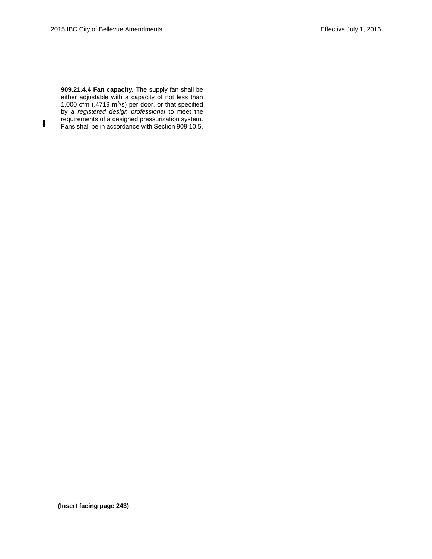$\mathbf{I}$ 

**909.21.4.4 Fan capacity.** The supply fan shall be either adjustable with a capacity of not less than 1,000 cfm  $(.4719 \text{ m}^3/\text{s})$  per door, or that specified by a *registered design professional* to meet the requirements of a designed pressurization system. Fans shall be in accordance with Section 909.10.5.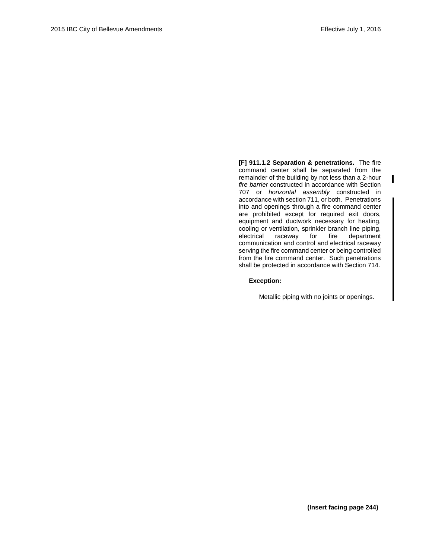ı

**[F] 911.1.2 Separation & penetrations.** The fire command center shall be separated from the remainder of the building by not less than a 2-hour *fire barrier* constructed in accordance with Section 707 or *horizontal assembly* constructed in accordance with section 711, or both. Penetrations into and openings through a fire command center are prohibited except for required exit doors, equipment and ductwork necessary for heating, cooling or ventilation, sprinkler branch line piping, electrical raceway for fire department communication and control and electrical raceway serving the fire command center or being controlled from the fire command center. Such penetrations shall be protected in accordance with Section 714.

#### **Exception:**

Metallic piping with no joints or openings.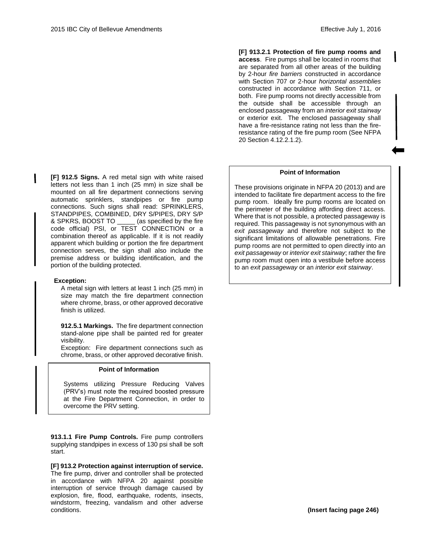**[F] 913.2.1 Protection of fire pump rooms and access**. Fire pumps shall be located in rooms that are separated from all other areas of the building by 2-hour *fire barriers* constructed in accordance with Section 707 or 2-hour *horizontal assemblies* constructed in accordance with Section 711, or both. Fire pump rooms not directly accessible from the outside shall be accessible through an enclosed passageway from an *interior exit stairway* or exterior exit. The enclosed passageway shall have a fire-resistance rating not less than the fireresistance rating of the fire pump room (See NFPA 20 Section 4.12.2.1.2).

#### **Point of Information**

These provisions originate in NFPA 20 (2013) and are intended to facilitate fire department access to the fire pump room. Ideally fire pump rooms are located on the perimeter of the building affording direct access. Where that is not possible, a protected passageway is required. This passageway is not synonymous with an *exit passageway* and therefore not subject to the significant limitations of allowable penetrations. Fire pump rooms are not permitted to open directly into an *exit passageway* or *interior exit stairway*; rather the fire pump room must open into a vestibule before access to an *exit passageway* or an *interior exit stairway*.

**[F] 912.5 Signs.** A red metal sign with white raised letters not less than 1 inch (25 mm) in size shall be mounted on all fire department connections serving automatic sprinklers, standpipes or fire pump connections. Such signs shall read: SPRINKLERS, STANDPIPES, COMBINED, DRY S/PIPES, DRY S/P & SPKRS, BOOST TO \_\_\_\_\_ (as specified by the fire code official) PSI, or TEST CONNECTION or a combination thereof as applicable. If it is not readily apparent which building or portion the fire department connection serves, the sign shall also include the premise address or building identification, and the portion of the building protected.

#### **Exception:**

A metal sign with letters at least 1 inch (25 mm) in size may match the fire department connection where chrome, brass, or other approved decorative finish is utilized.

**912.5.1 Markings.** The fire department connection stand-alone pipe shall be painted red for greater visibility.

Exception: Fire department connections such as chrome, brass, or other approved decorative finish.

#### **Point of Information**

Systems utilizing Pressure Reducing Valves (PRV's) must note the required boosted pressure at the Fire Department Connection, in order to overcome the PRV setting.

**913.1.1 Fire Pump Controls.** Fire pump controllers supplying standpipes in excess of 130 psi shall be soft start.

**[F] 913.2 Protection against interruption of service.**  The fire pump, driver and controller shall be protected in accordance with NFPA 20 against possible interruption of service through damage caused by explosion, fire, flood, earthquake, rodents, insects, windstorm, freezing, vandalism and other adverse conditions.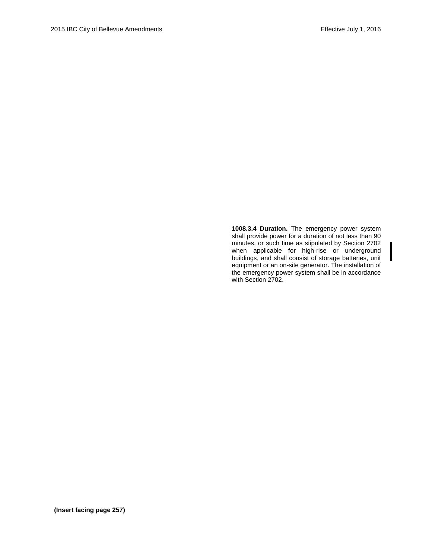**1008.3.4 Duration.** The emergency power system shall provide power for a duration of not less than 90 minutes, or such time as stipulated by Section 2702 when applicable for high-rise or underground buildings, and shall consist of storage batteries, unit equipment or an on-site generator. The installation of the emergency power system shall be in accordance with Section 2702.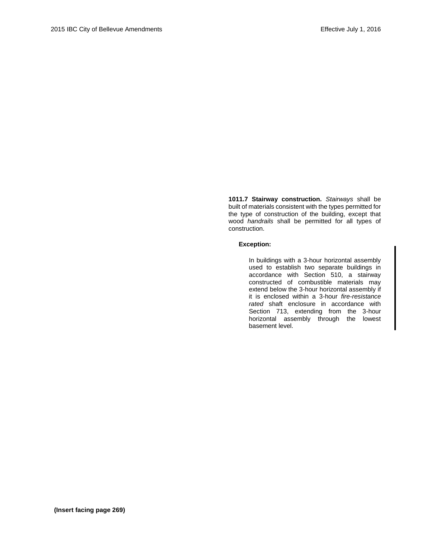**1011.7 Stairway construction.** *Stairways* shall be built of materials consistent with the types permitted for the type of construction of the building, except that wood *handrails* shall be permitted for all types of construction.

#### **Exception:**

In buildings with a 3-hour horizontal assembly used to establish two separate buildings in accordance with Section 510, a stairway constructed of combustible materials may extend below the 3-hour horizontal assembly if it is enclosed within a 3-hour *fire-resistance rated* shaft enclosure in accordance with Section 713, extending from the 3-hour horizontal assembly through the lowest basement level.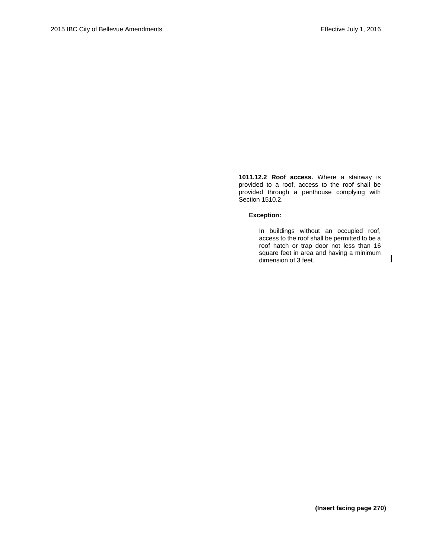**1011.12.2 Roof access.** Where a stairway is provided to a roof, access to the roof shall be provided through a penthouse complying with Section 1510.2.

#### **Exception:**

In buildings without an occupied roof, access to the roof shall be permitted to be a roof hatch or trap door not less than 16 square feet in area and having a minimum dimension of 3 feet.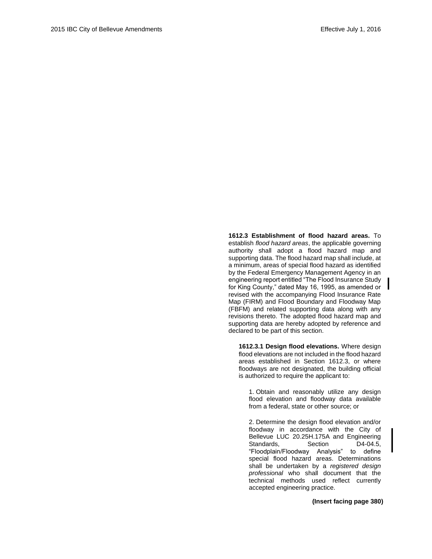**1612.3 Establishment of flood hazard areas.** To establish *flood hazard areas*, the applicable governing authority shall adopt a flood hazard map and supporting data. The flood hazard map shall include, at a minimum, areas of special flood hazard as identified by the Federal Emergency Management Agency in an engineering report entitled "The Flood Insurance Study for King County," dated May 16, 1995, as amended or revised with the accompanying Flood Insurance Rate Map (FIRM) and Flood Boundary and Floodway Map (FBFM) and related supporting data along with any revisions thereto. The adopted flood hazard map and supporting data are hereby adopted by reference and declared to be part of this section.

**1612.3.1 Design flood elevations.** Where design flood elevations are not included in the flood hazard areas established in Section 1612.3, or where floodways are not designated, the building official is authorized to require the applicant to:

1. Obtain and reasonably utilize any design flood elevation and floodway data available from a federal, state or other source; or

2. Determine the design flood elevation and/or floodway in accordance with the City of Bellevue LUC 20.25H.175A and Engineering<br>Standards. Section D4-04.5, Standards, Section "Floodplain/Floodway Analysis" to define special flood hazard areas. Determinations shall be undertaken by a *registered design professional* who shall document that the technical methods used reflect currently accepted engineering practice.

**(Insert facing page 380)**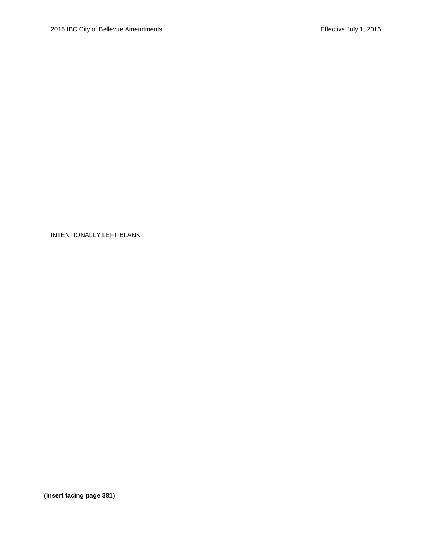**(Insert facing page 381)**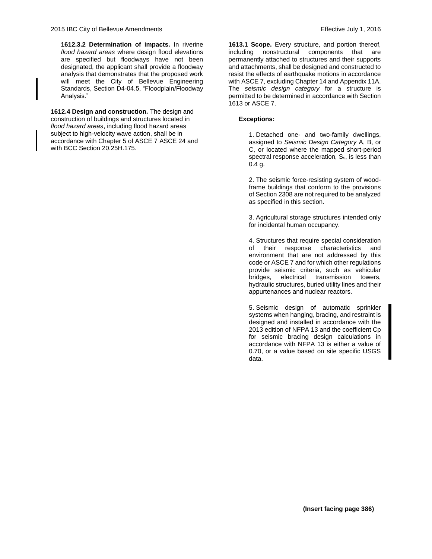**1612.3.2 Determination of impacts.** In riverine *flood hazard areas* where design flood elevations are specified but floodways have not been designated, the applicant shall provide a floodway analysis that demonstrates that the proposed work will meet the City of Bellevue Engineering Standards, Section D4-04.5, "Floodplain/Floodway Analysis."

**1612.4 Design and construction.** The design and construction of buildings and structures located in *flood hazard areas*, including flood hazard areas subject to high-velocity wave action, shall be in accordance with Chapter 5 of ASCE 7 ASCE 24 and with BCC Sectio[n 20.25H.175.](http://www.codepublishing.com/wa/bellevue/LUC/BellevueLUC2025H.html#20.25H.175)

**1613.1 Scope.** Every structure, and portion thereof, including nonstructural components that are permanently attached to structures and their supports and attachments, shall be designed and constructed to resist the effects of earthquake motions in accordance with ASCE 7, excluding Chapter 14 and Appendix 11A. The *seismic design category* for a structure is permitted to be determined in accordance with Section 1613 or ASCE 7.

#### **Exceptions:**

1. Detached one- and two-family dwellings, assigned to *Seismic Design Category* A, B, or C, or located where the mapped short-period spectral response acceleration, S<sub>s</sub>, is less than  $0.4 g.$ 

2. The seismic force-resisting system of woodframe buildings that conform to the provisions of Section 2308 are not required to be analyzed as specified in this section.

3. Agricultural storage structures intended only for incidental human occupancy.

4. Structures that require special consideration of their response characteristics and environment that are not addressed by this code or ASCE 7 and for which other regulations provide seismic criteria, such as vehicular bridges, electrical transmission towers, hydraulic structures, buried utility lines and their appurtenances and nuclear reactors.

5. Seismic design of automatic sprinkler systems when hanging, bracing, and restraint is designed and installed in accordance with the 2013 edition of NFPA 13 and the coefficient Cp for seismic bracing design calculations in accordance with NFPA 13 is either a value of 0.70, or a value based on site specific USGS data.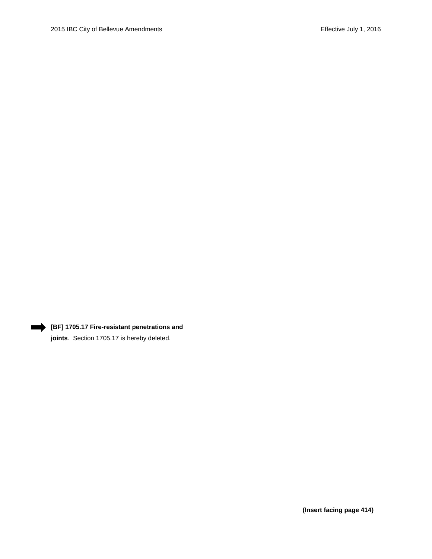

# **[BF] 1705.17 Fire-resistant penetrations and**

**joints**. Section 1705.17 is hereby deleted.

**(Insert facing page 414)**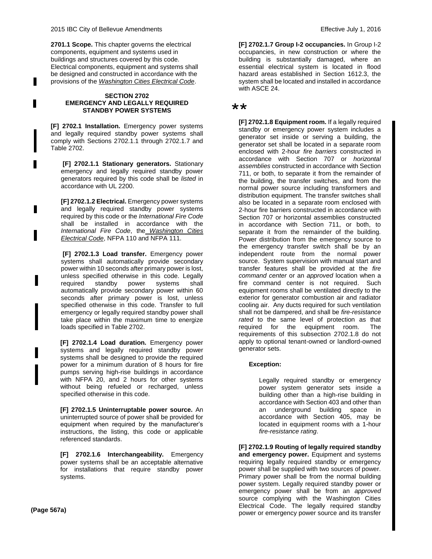**2701.1 Scope.** This chapter governs the electrical components, equipment and systems used in buildings and structures covered by this code. Electrical components, equipment and systems shall be designed and constructed in accordance with the provisions of the *Washington Cities Electrical Code*.

#### **SECTION 2702 EMERGENCY AND LEGALLY REQUIRED STANDBY POWER SYSTEMS**

**[F] 2702.1 Installation.** Emergency power systems and legally required standby power systems shall comply with Sections 2702.1.1 through 2702.1.7 and Table 2702.

**[F] 2702.1.1 Stationary generators.** Stationary emergency and legally required standby power generators required by this code shall be *listed* in accordance with UL 2200.

**[F] 2702.1.2 Electrical.** Emergency power systems and legally required standby power systems required by this code or the *International Fire Code*  shall be installed in accordance with the *International Fire Code*, the *Washington Cities Electrical Code*, NFPA 110 and NFPA 111.

**[F] 2702.1.3 Load transfer.** Emergency power systems shall automatically provide secondary power within 10 seconds after primary power is lost, unless specified otherwise in this code. Legally required standby power systems shall automatically provide secondary power within 60 seconds after primary power is lost, unless specified otherwise in this code. Transfer to full emergency or legally required standby power shall take place within the maximum time to energize loads specified in Table 2702.

**[F] 2702.1.4 Load duration.** Emergency power systems and legally required standby power systems shall be designed to provide the required power for a minimum duration of 8 hours for fire pumps serving high-rise buildings in accordance with NFPA 20, and 2 hours for other systems without being refueled or recharged, unless specified otherwise in this code.

**[F] 2702.1.5 Uninterruptable power source.** An uninterrupted source of power shall be provided for equipment when required by the manufacturer's instructions, the listing, this code or applicable referenced standards.

**[F] 2702.1.6 Interchangeability.** Emergency power systems shall be an acceptable alternative for installations that require standby power systems.

**[F] 2702.1.7 Group I-2 occupancies.** In Group I-2 occupancies, in new construction or where the building is substantially damaged, where an essential electrical system is located in flood hazard areas established in Section 1612.3, the system shall be located and installed in accordance with ASCE 24.

# \*\*

**[F] 2702.1.8 Equipment room.** If a legally required standby or emergency power system includes a generator set inside or serving a building, the generator set shall be located in a separate room enclosed with 2-hour *fire barriers* constructed in accordance with Section 707 or *horizontal assemblies* constructed in accordance with Section 711, or both, to separate it from the remainder of the building, the transfer switches, and from the normal power source including transformers and distribution equipment. The transfer switches shall also be located in a separate room enclosed with 2-hour fire barriers constructed in accordance with Section 707 or horizontal assemblies constructed in accordance with Section 711, or both, to separate it from the remainder of the building. Power distribution from the emergency source to the emergency transfer switch shall be by an independent route from the normal power source. System supervision with manual start and transfer features shall be provided at the *fire command center* or an *approved* location when a fire command center is not required. Such equipment rooms shall be ventilated directly to the exterior for generator combustion air and radiator cooling air. Any ducts required for such ventilation shall not be dampered, and shall be *fire-resistance rated* to the same level of protection as that required for the equipment room. The requirements of this subsection 2702.1.8 do not apply to optional tenant-owned or landlord-owned generator sets.

#### **Exception:**

Legally required standby or emergency power system generator sets inside a building other than a high-rise building in accordance with Section 403 and other than an underground building space in accordance with Section 405, may be located in equipment rooms with a 1-hour *fire-resistance rating*.

**[F] 2702.1.9 Routing of legally required standby and emergency power.** Equipment and systems requiring legally required standby or emergency power shall be supplied with two sources of power. Primary power shall be from the normal building power system. Legally required standby power or emergency power shall be from an *approved* source complying with the Washington Cities Electrical Code. The legally required standby power or emergency power source and its transfer **(Page 567a)**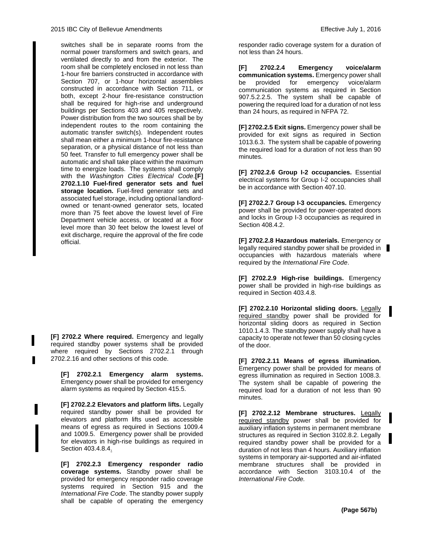switches shall be in separate rooms from the normal power transformers and switch gears, and ventilated directly to and from the exterior. The room shall be completely enclosed in not less than 1-hour fire barriers constructed in accordance with Section 707, or 1-hour horizontal assemblies constructed in accordance with Section 711, or both, except 2-hour fire-resistance construction shall be required for high-rise and underground buildings per Sections 403 and 405 respectively. Power distribution from the two sources shall be by independent routes to the room containing the automatic transfer switch(s). Independent routes shall mean either a minimum 1-hour fire-resistance separation, or a physical distance of not less than 50 feet. Transfer to full emergency power shall be automatic and shall take place within the maximum time to energize loads. The systems shall comply with the *Washington Cities Electrical Code*.**[F] 2702.1.10 Fuel-fired generator sets and fuel storage location.** Fuel-fired generator sets and associated fuel storage, including optional landlordowned or tenant-owned generator sets, located more than 75 feet above the lowest level of Fire Department vehicle access, or located at a floor level more than 30 feet below the lowest level of exit discharge, require the approval of the fire code official.

**[F] 2702.2 Where required.** Emergency and legally required standby power systems shall be provided where required by Sections 2702.2.1 through 2702.2.16 and other sections of this code.

**[F] 2702.2.1 Emergency alarm systems.** Emergency power shall be provided for emergency alarm systems as required by Section 415.5.

**[F] 2702.2.2 Elevators and platform lifts.** Legally required standby power shall be provided for elevators and platform lifts used as accessible means of egress as required in Sections 1009.4 and 1009.5. Emergency power shall be provided for elevators in high-rise buildings as required in Section 403.4.8.4.

**[F] 2702.2.3 Emergency responder radio coverage systems.** Standby power shall be provided for emergency responder radio coverage systems required in Section 915 and the *International Fire Code*. The standby power supply shall be capable of operating the emergency responder radio coverage system for a duration of not less than 24 hours.

**[F] 2702.2.4 Emergency voice/alarm communication systems.** Emergency power shall be provided for emergency voice/alarm communication systems as required in Section 907.5.2.2.5. The system shall be capable of powering the required load for a duration of not less than 24 hours, as required in NFPA 72.

**[F] 2702.2.5 Exit signs.** Emergency power shall be provided for exit signs as required in Section 1013.6.3. The system shall be capable of powering the required load for a duration of not less than 90 minutes.

**[F] 2702.2.6 Group I-2 occupancies.** Essential electrical systems for Group I-2 occupancies shall be in accordance with Section 407.10.

**[F] 2702.2.7 Group I-3 occupancies.** Emergency power shall be provided for power-operated doors and locks in Group I-3 occupancies as required in Section 408.4.2.

**[F] 2702.2.8 Hazardous materials.** Emergency or legally required standby power shall be provided in occupancies with hazardous materials where required by the *International Fire Code*.

**[F] 2702.2.9 High-rise buildings.** Emergency power shall be provided in high-rise buildings as required in Section 403.4.8.

**[F] 2702.2.10 Horizontal sliding doors.** Legally required standby power shall be provided for horizontal sliding doors as required in Section 1010.1.4.3. The standby power supply shall have a capacity to operate not fewer than 50 closing cycles of the door.

**[F] 2702.2.11 Means of egress illumination.**  Emergency power shall be provided for means of egress illumination as required in Section 1008.3. The system shall be capable of powering the required load for a duration of not less than 90 minutes.

**[F] 2702.2.12 Membrane structures.** Legally required standby power shall be provided for auxiliary inflation systems in permanent membrane structures as required in Section 3102.8.2. Legally required standby power shall be provided for a duration of not less than 4 hours. Auxiliary inflation systems in temporary air-supported and air-inflated membrane structures shall be provided in accordance with Section 3103.10.4 of the *International Fire Code.*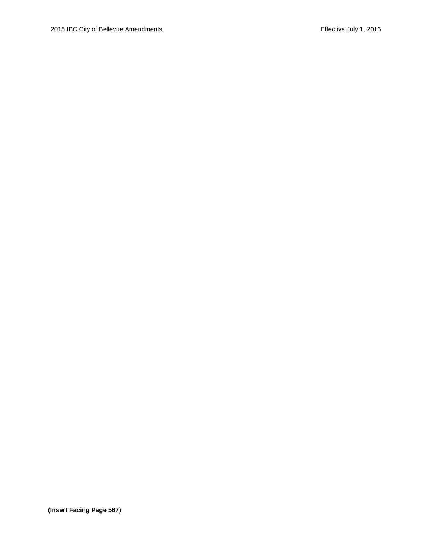**(Insert Facing Page 567)**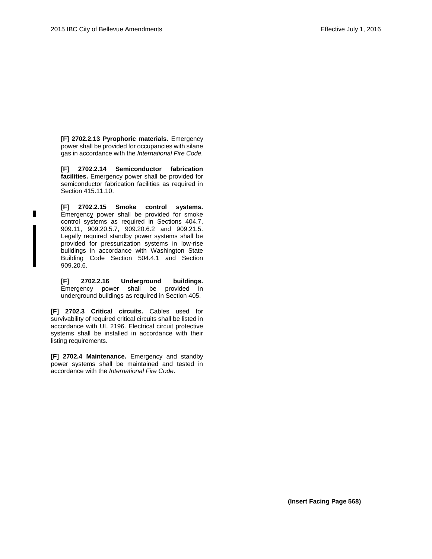**[F] 2702.2.13 Pyrophoric materials.** Emergency power shall be provided for occupancies with silane gas in accordance with the *International Fire Code.*

**[F] 2702.2.14 Semiconductor fabrication facilities.** Emergency power shall be provided for semiconductor fabrication facilities as required in Section 415.11.10.

**[F] 2702.2.15 Smoke control systems.**  Emergency power shall be provided for smoke control systems as required in Sections 404.7, 909.11, 909.20.5.7, 909.20.6.2 and 909.21.5. Legally required standby power systems shall be provided for pressurization systems in low-rise buildings in accordance with Washington State Building Code Section 504.4.1 and Section 909.20.6.

п

**[F] 2702.2.16 Underground buildings.** Emergency power shall be provided in underground buildings as required in Section 405.

**[F] 2702.3 Critical circuits.** Cables used for survivability of required critical circuits shall be listed in accordance with UL 2196. Electrical circuit protective systems shall be installed in accordance with their listing requirements.

**[F] 2702.4 Maintenance.** Emergency and standby power systems shall be maintained and tested in accordance with the *International Fire Code*.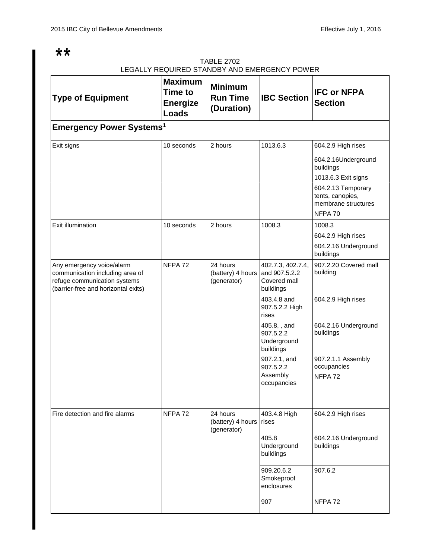# $**$

# TABLE 2702 LEGALLY REQUIRED STANDBY AND EMERGENCY POWER

| <b>Type of Equipment</b>                                                                                                            | <b>Maximum</b><br><b>Time to</b><br><b>Energize</b><br><b>Loads</b> | <b>Minimum</b><br><b>Run Time</b><br>(Duration) | <b>IBC Section</b>                                              | <b>IFC or NFPA</b><br><b>Section</b>                                     |
|-------------------------------------------------------------------------------------------------------------------------------------|---------------------------------------------------------------------|-------------------------------------------------|-----------------------------------------------------------------|--------------------------------------------------------------------------|
| <b>Emergency Power Systems<sup>1</sup></b>                                                                                          |                                                                     |                                                 |                                                                 |                                                                          |
| Exit signs                                                                                                                          | 10 seconds                                                          | 2 hours                                         | 1013.6.3                                                        | 604.2.9 High rises                                                       |
|                                                                                                                                     |                                                                     |                                                 |                                                                 | 604.2.16Underground<br>buildings                                         |
|                                                                                                                                     |                                                                     |                                                 |                                                                 | 1013.6.3 Exit signs                                                      |
|                                                                                                                                     |                                                                     |                                                 |                                                                 | 604.2.13 Temporary<br>tents, canopies,<br>membrane structures<br>NFPA 70 |
| Exit illumination                                                                                                                   | 10 seconds                                                          | 2 hours                                         | 1008.3                                                          | 1008.3                                                                   |
|                                                                                                                                     |                                                                     |                                                 |                                                                 | 604.2.9 High rises                                                       |
|                                                                                                                                     |                                                                     |                                                 |                                                                 | 604.2.16 Underground<br>buildings                                        |
| Any emergency voice/alarm<br>communication including area of<br>refuge communication systems<br>(barrier-free and horizontal exits) | NFPA <sub>72</sub>                                                  | 24 hours<br>(battery) 4 hours<br>(generator)    | 402.7.3, 402.7.4,<br>and 907.5.2.2<br>Covered mall<br>buildings | 907.2.20 Covered mall<br>building                                        |
|                                                                                                                                     |                                                                     |                                                 | 403.4.8 and<br>907.5.2.2 High<br>rises                          | 604.2.9 High rises                                                       |
|                                                                                                                                     |                                                                     |                                                 | 405.8, , and<br>907.5.2.2<br>Underground<br>buildings           | 604.2.16 Underground<br>buildings                                        |
|                                                                                                                                     |                                                                     |                                                 | 907.2.1, and<br>907.5.2.2<br>Assembly<br>occupancies            | 907.2.1.1 Assembly<br>occupancies<br>NFPA <sub>72</sub>                  |
| Fire detection and fire alarms                                                                                                      | NFPA 72                                                             | 24 hours<br>(battery) 4 hours<br>(generator)    | 403.4.8 High<br>rises                                           | 604.2.9 High rises                                                       |
|                                                                                                                                     |                                                                     |                                                 | 405.8<br>Underground<br>buildings                               | 604.2.16 Underground<br>buildings                                        |
|                                                                                                                                     |                                                                     |                                                 | 909.20.6.2<br>Smokeproof<br>enclosures                          | 907.6.2                                                                  |
|                                                                                                                                     |                                                                     |                                                 | 907                                                             | NFPA 72                                                                  |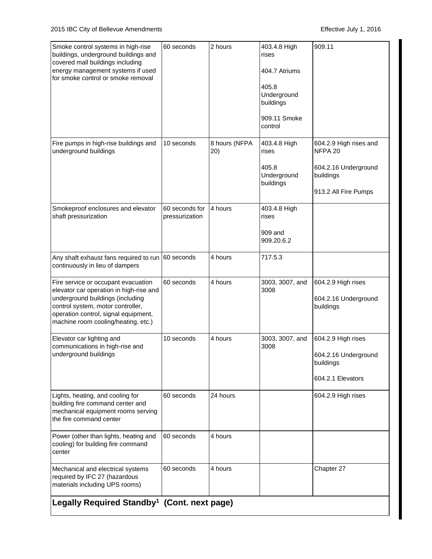| Smoke control systems in high-rise<br>buildings, underground buildings and<br>covered mall buildings including<br>energy management systems if used<br>for smoke control or smoke removal                                              | 60 seconds                       | 2 hours              | 403.4.8 High<br>rises<br>404.7 Atriums<br>405.8<br>Underground<br>buildings<br>909.11 Smoke<br>control | 909.11                                                                                         |
|----------------------------------------------------------------------------------------------------------------------------------------------------------------------------------------------------------------------------------------|----------------------------------|----------------------|--------------------------------------------------------------------------------------------------------|------------------------------------------------------------------------------------------------|
| Fire pumps in high-rise buildings and<br>underground buildings                                                                                                                                                                         | 10 seconds                       | 8 hours (NFPA<br>20) | 403.4.8 High<br>rises<br>405.8<br>Underground<br>buildings                                             | 604.2.9 High rises and<br>NFPA 20<br>604.2.16 Underground<br>buildings<br>913.2 All Fire Pumps |
| Smokeproof enclosures and elevator<br>shaft pressurization                                                                                                                                                                             | 60 seconds for<br>pressurization | 4 hours              | 403.4.8 High<br>rises<br>909 and<br>909.20.6.2                                                         |                                                                                                |
| Any shaft exhaust fans required to run 60 seconds<br>continuously in lieu of dampers                                                                                                                                                   |                                  | 4 hours              | 717.5.3                                                                                                |                                                                                                |
| Fire service or occupant evacuation<br>elevator car operation in high-rise and<br>underground buildings (including<br>control system, motor controller,<br>operation control, signal equipment,<br>machine room cooling/heating, etc.) | 60 seconds                       | 4 hours              | 3003, 3007, and<br>3008                                                                                | 604.2.9 High rises<br>604.2.16 Underground<br>buildings                                        |
| Elevator car lighting and<br>communications in high-rise and<br>underground buildings                                                                                                                                                  | 10 seconds                       | 4 hours              | 3003, 3007, and<br>3008                                                                                | 604.2.9 High rises<br>604.2.16 Underground<br>buildings<br>604.2.1 Elevators                   |
| Lights, heating, and cooling for<br>building fire command center and<br>mechanical equipment rooms serving<br>the fire command center                                                                                                  | 60 seconds                       | 24 hours             |                                                                                                        | 604.2.9 High rises                                                                             |
| Power (other than lights, heating and<br>cooling) for building fire command<br>center                                                                                                                                                  | 60 seconds                       | 4 hours              |                                                                                                        |                                                                                                |
| Mechanical and electrical systems<br>required by IFC 27 (hazardous<br>materials including UPS rooms)                                                                                                                                   | 60 seconds                       | 4 hours              |                                                                                                        | Chapter 27                                                                                     |
| Legally Required Standby <sup>1</sup> (Cont. next page)                                                                                                                                                                                |                                  |                      |                                                                                                        |                                                                                                |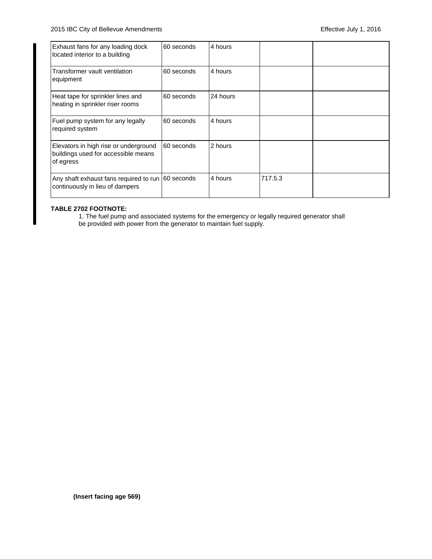| Exhaust fans for any loading dock<br>located interior to a building                       | 60 seconds | 4 hours  |         |  |
|-------------------------------------------------------------------------------------------|------------|----------|---------|--|
| Transformer vault ventilation<br>equipment                                                | 60 seconds | 4 hours  |         |  |
| Heat tape for sprinkler lines and<br>heating in sprinkler riser rooms                     | 60 seconds | 24 hours |         |  |
| Fuel pump system for any legally<br>required system                                       | 60 seconds | 4 hours  |         |  |
| Elevators in high rise or underground<br>buildings used for accessible means<br>of egress | 60 seconds | 2 hours  |         |  |
| Any shaft exhaust fans required to run 60 seconds<br>continuously in lieu of dampers      |            | 4 hours  | 717.5.3 |  |

### **TABLE 2702 FOOTNOTE:**

1. The fuel pump and associated systems for the emergency or legally required generator shall be provided with power from the generator to maintain fuel supply.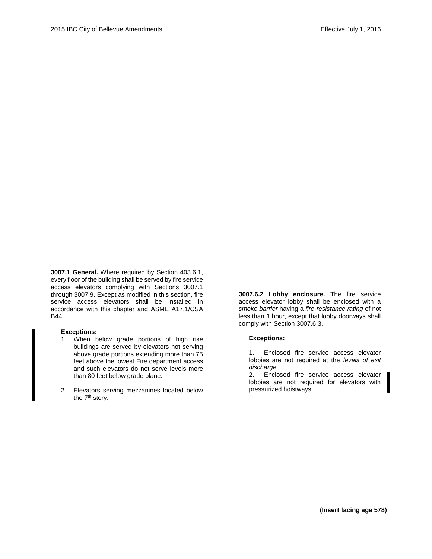**3007.1 General.** Where required by Section 403.6.1, every floor of the building shall be served by fire service access elevators complying with Sections 3007.1 through 3007.9. Except as modified in this section, fire service access elevators shall be installed in accordance with this chapter and ASME A17.1/CSA B44.

#### **Exceptions:**

- 1. When below grade portions of high rise buildings are served by elevators not serving above grade portions extending more than 75 feet above the lowest Fire department access and such elevators do not serve levels more than 80 feet below grade plane.
- 2. Elevators serving mezzanines located below the 7<sup>th</sup> story.

**3007.6.2 Lobby enclosure.** The fire service access elevator lobby shall be enclosed with a *smoke barrier* having a *fire-resistance rating* of not less than 1 hour, except that lobby doorways shall comply with Section 3007.6.3.

#### **Exceptions:**

1. Enclosed fire service access elevator lobbies are not required at the *levels of exit discharge*.

2. Enclosed fire service access elevator lobbies are not required for elevators with pressurized hoistways.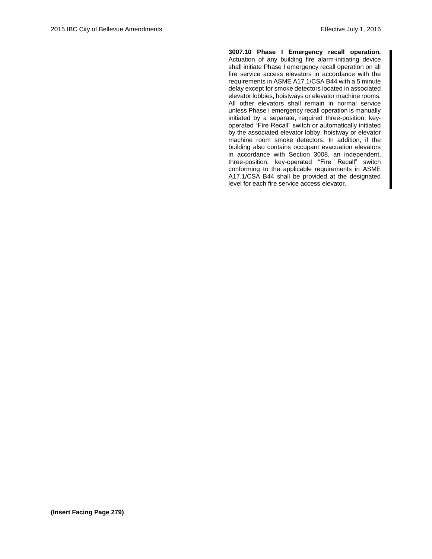**3007.10 Phase I Emergency recall operation.** Actuation of any building fire alarm-initiating device shall initiate Phase I emergency recall operation on all fire service access elevators in accordance with the requirements in ASME A17.1/CSA B44 with a 5 minute delay except for smoke detectors located in associated elevator lobbies, hoistways or elevator machine rooms. All other elevators shall remain in normal service unless Phase I emergency recall operation is manually initiated by a separate, required three-position, keyoperated "Fire Recall" switch or automatically initiated by the associated elevator lobby, hoistway or elevator machine room smoke detectors. In addition, if the building also contains occupant evacuation elevators in accordance with Section 3008, an independent, three-position, key-operated "Fire Recall" switch conforming to the applicable requirements in ASME A17.1/CSA B44 shall be provided at the designated level for each fire service access elevator.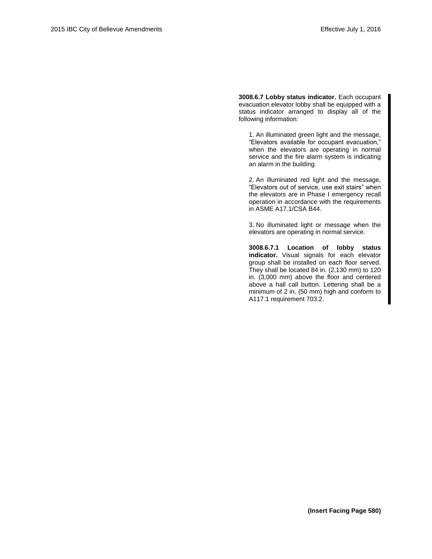**3008.6.7 Lobby status indicator.** Each occupant evacuation elevator lobby shall be equipped with a status indicator arranged to display all of the following information:

1. An illuminated green light and the message, "Elevators available for occupant evacuation," when the elevators are operating in normal service and the fire alarm system is indicating an alarm in the building.

2. An illuminated red light and the message, "Elevators out of service, use exit stairs" when the elevators are in Phase I emergency recall operation in accordance with the requirements in ASME A17.1/CSA B44.

3. No illuminated light or message when the elevators are operating in normal service.

**3008.6.7.1 Location of lobby status indicator.** Visual signals for each elevator group shall be installed on each floor served. They shall be located 84 in. (2,130 mm) to 120 in. (3,000 mm) above the floor and centered above a hall call button. Lettering shall be a minimum of 2 in. (50 mm) high and conform to A117.1 requirement 703.2.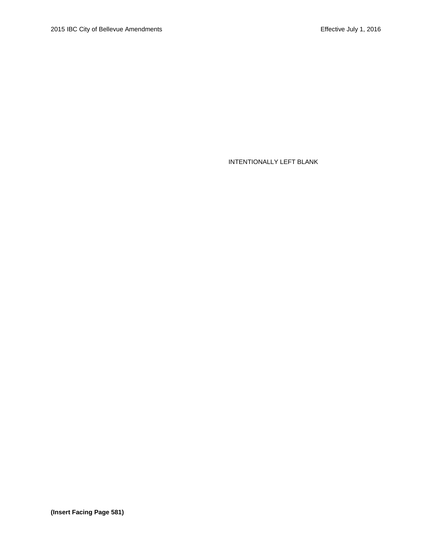INTENTIONALLY LEFT BLANK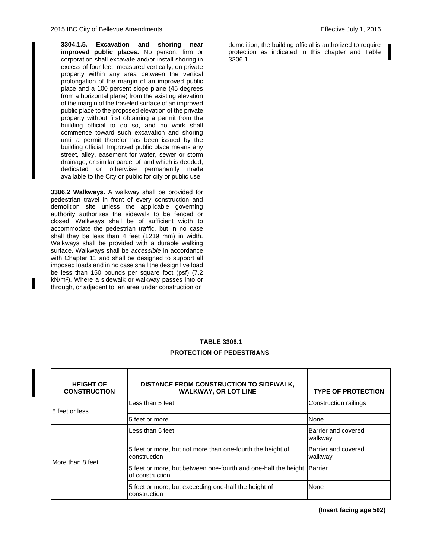**3304.1.5. Excavation and shoring near improved public places.** No person, firm or corporation shall excavate and/or install shoring in excess of four feet, measured vertically, on private property within any area between the vertical prolongation of the margin of an improved public place and a 100 percent slope plane (45 degrees from a horizontal plane) from the existing elevation of the margin of the traveled surface of an improved public place to the proposed elevation of the private property without first obtaining a permit from the building official to do so, and no work shall commence toward such excavation and shoring until a permit therefor has been issued by the building official. Improved public place means any street, alley, easement for water, sewer or storm drainage, or similar parcel of land which is deeded, dedicated or otherwise permanently made available to the City or public for city or public use.

**3306.2 Walkways.** A walkway shall be provided for pedestrian travel in front of every construction and demolition site unless the applicable governing authority authorizes the sidewalk to be fenced or closed. Walkways shall be of sufficient width to accommodate the pedestrian traffic, but in no case shall they be less than 4 feet (1219 mm) in width. Walkways shall be provided with a durable walking surface. Walkways shall be *accessible* in accordance with Chapter 11 and shall be designed to support all imposed loads and in no case shall the design live load be less than 150 pounds per square foot (psf) (7.2 kN/m<sup>2</sup> ). Where a sidewalk or walkway passes into or through, or adjacent to, an area under construction or

demolition, the building official is authorized to require protection as indicated in this chapter and Table 3306.1.

# **TABLE 3306.1 PROTECTION OF PEDESTRIANS**

| <b>HEIGHT OF</b><br><b>CONSTRUCTION</b> | DISTANCE FROM CONSTRUCTION TO SIDEWALK,<br><b>WALKWAY, OR LOT LINE</b>            | <b>TYPE OF PROTECTION</b>      |
|-----------------------------------------|-----------------------------------------------------------------------------------|--------------------------------|
| 8 feet or less                          | Less than 5 feet                                                                  | Construction railings          |
|                                         | 5 feet or more                                                                    | None                           |
| More than 8 feet                        | Less than 5 feet                                                                  | Barrier and covered<br>walkway |
|                                         | 5 feet or more, but not more than one-fourth the height of<br>construction        | Barrier and covered<br>walkway |
|                                         | 5 feet or more, but between one-fourth and one-half the height<br>of construction | <b>Barrier</b>                 |
|                                         | 5 feet or more, but exceeding one-half the height of<br>construction              | None                           |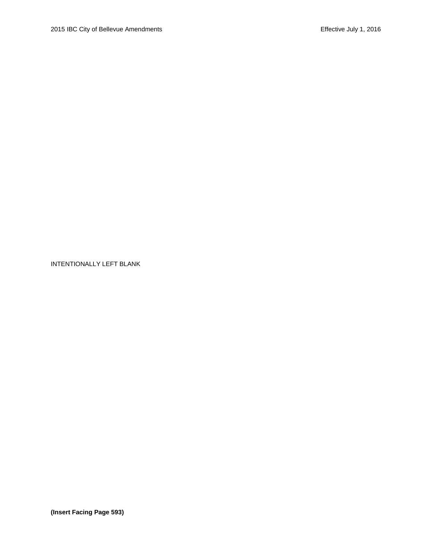INTENTIONALLY LEFT BLANK